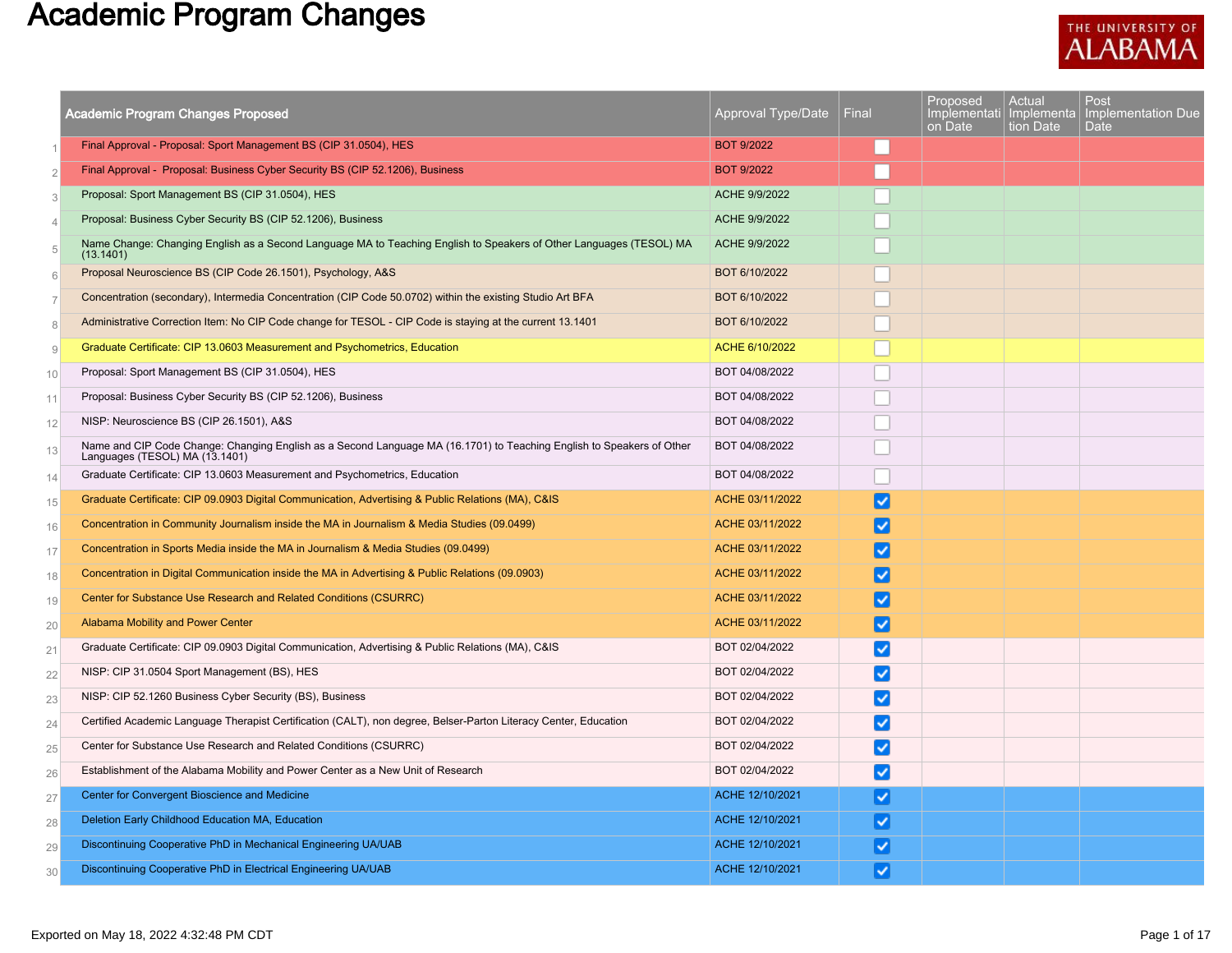## Academic Program Changes



|                | Academic Program Changes Proposed                                                                                                                       | Approval Type/Date | Final                  | Proposed<br>Implementati<br>on Date | Actual<br>Implementa<br>tion Date | Post<br>Implementation Due<br>Date |
|----------------|---------------------------------------------------------------------------------------------------------------------------------------------------------|--------------------|------------------------|-------------------------------------|-----------------------------------|------------------------------------|
| $\overline{1}$ | Final Approval - Proposal: Sport Management BS (CIP 31.0504), HES                                                                                       | <b>BOT 9/2022</b>  |                        |                                     |                                   |                                    |
| $\overline{2}$ | Final Approval - Proposal: Business Cyber Security BS (CIP 52.1206), Business                                                                           | <b>BOT 9/2022</b>  |                        |                                     |                                   |                                    |
| 3              | Proposal: Sport Management BS (CIP 31.0504), HES                                                                                                        | ACHE 9/9/2022      |                        |                                     |                                   |                                    |
| $\overline{4}$ | Proposal: Business Cyber Security BS (CIP 52.1206), Business                                                                                            | ACHE 9/9/2022      |                        |                                     |                                   |                                    |
| 5              | Name Change: Changing English as a Second Language MA to Teaching English to Speakers of Other Languages (TESOL) MA<br>(13.1401)                        | ACHE 9/9/2022      |                        |                                     |                                   |                                    |
| 6              | Proposal Neuroscience BS (CIP Code 26.1501), Psychology, A&S                                                                                            | BOT 6/10/2022      |                        |                                     |                                   |                                    |
| $\overline{7}$ | Concentration (secondary), Intermedia Concentration (CIP Code 50.0702) within the existing Studio Art BFA                                               | BOT 6/10/2022      |                        |                                     |                                   |                                    |
| 8              | Administrative Correction Item: No CIP Code change for TESOL - CIP Code is staying at the current 13.1401                                               | BOT 6/10/2022      |                        |                                     |                                   |                                    |
| 9              | Graduate Certificate: CIP 13.0603 Measurement and Psychometrics, Education                                                                              | ACHE 6/10/2022     |                        |                                     |                                   |                                    |
| 10             | Proposal: Sport Management BS (CIP 31.0504), HES                                                                                                        | BOT 04/08/2022     |                        |                                     |                                   |                                    |
| 11             | Proposal: Business Cyber Security BS (CIP 52.1206), Business                                                                                            | BOT 04/08/2022     |                        |                                     |                                   |                                    |
| 12             | NISP: Neuroscience BS (CIP 26.1501), A&S                                                                                                                | BOT 04/08/2022     |                        |                                     |                                   |                                    |
| 13             | Name and CIP Code Change: Changing English as a Second Language MA (16.1701) to Teaching English to Speakers of Other<br>Languages (TESOL) MA (13.1401) | BOT 04/08/2022     |                        |                                     |                                   |                                    |
| 14             | Graduate Certificate: CIP 13.0603 Measurement and Psychometrics, Education                                                                              | BOT 04/08/2022     |                        |                                     |                                   |                                    |
| 15             | Graduate Certificate: CIP 09.0903 Digital Communication, Advertising & Public Relations (MA), C&IS                                                      | ACHE 03/11/2022    | ✓                      |                                     |                                   |                                    |
| 16             | Concentration in Community Journalism inside the MA in Journalism & Media Studies (09.0499)                                                             | ACHE 03/11/2022    | ✓                      |                                     |                                   |                                    |
| 17             | Concentration in Sports Media inside the MA in Journalism & Media Studies (09.0499)                                                                     | ACHE 03/11/2022    | ✓                      |                                     |                                   |                                    |
| 18             | Concentration in Digital Communication inside the MA in Advertising & Public Relations (09.0903)                                                        | ACHE 03/11/2022    | $\blacktriangledown$   |                                     |                                   |                                    |
| 19             | Center for Substance Use Research and Related Conditions (CSURRC)                                                                                       | ACHE 03/11/2022    | ◡                      |                                     |                                   |                                    |
| 20             | Alabama Mobility and Power Center                                                                                                                       | ACHE 03/11/2022    | ⊻                      |                                     |                                   |                                    |
| 21             | Graduate Certificate: CIP 09.0903 Digital Communication, Advertising & Public Relations (MA), C&IS                                                      | BOT 02/04/2022     | $\vert\checkmark\vert$ |                                     |                                   |                                    |
| 22             | NISP: CIP 31.0504 Sport Management (BS), HES                                                                                                            | BOT 02/04/2022     | ✓                      |                                     |                                   |                                    |
| 23             | NISP: CIP 52.1260 Business Cyber Security (BS), Business                                                                                                | BOT 02/04/2022     | ✓                      |                                     |                                   |                                    |
| 24             | Certified Academic Language Therapist Certification (CALT), non degree, Belser-Parton Literacy Center, Education                                        | BOT 02/04/2022     | ◡                      |                                     |                                   |                                    |
| 25             | Center for Substance Use Research and Related Conditions (CSURRC)                                                                                       | BOT 02/04/2022     | ✓                      |                                     |                                   |                                    |
| 26             | Establishment of the Alabama Mobility and Power Center as a New Unit of Research                                                                        | BOT 02/04/2022     | ◡                      |                                     |                                   |                                    |
| 27             | Center for Convergent Bioscience and Medicine                                                                                                           | ACHE 12/10/2021    | $\blacktriangledown$   |                                     |                                   |                                    |
| 28             | Deletion Early Childhood Education MA, Education                                                                                                        | ACHE 12/10/2021    | ⊻                      |                                     |                                   |                                    |
| 29             | Discontinuing Cooperative PhD in Mechanical Engineering UA/UAB                                                                                          | ACHE 12/10/2021    | ✓                      |                                     |                                   |                                    |
| 30             | Discontinuing Cooperative PhD in Electrical Engineering UA/UAB                                                                                          | ACHE 12/10/2021    | $\vert\checkmark\vert$ |                                     |                                   |                                    |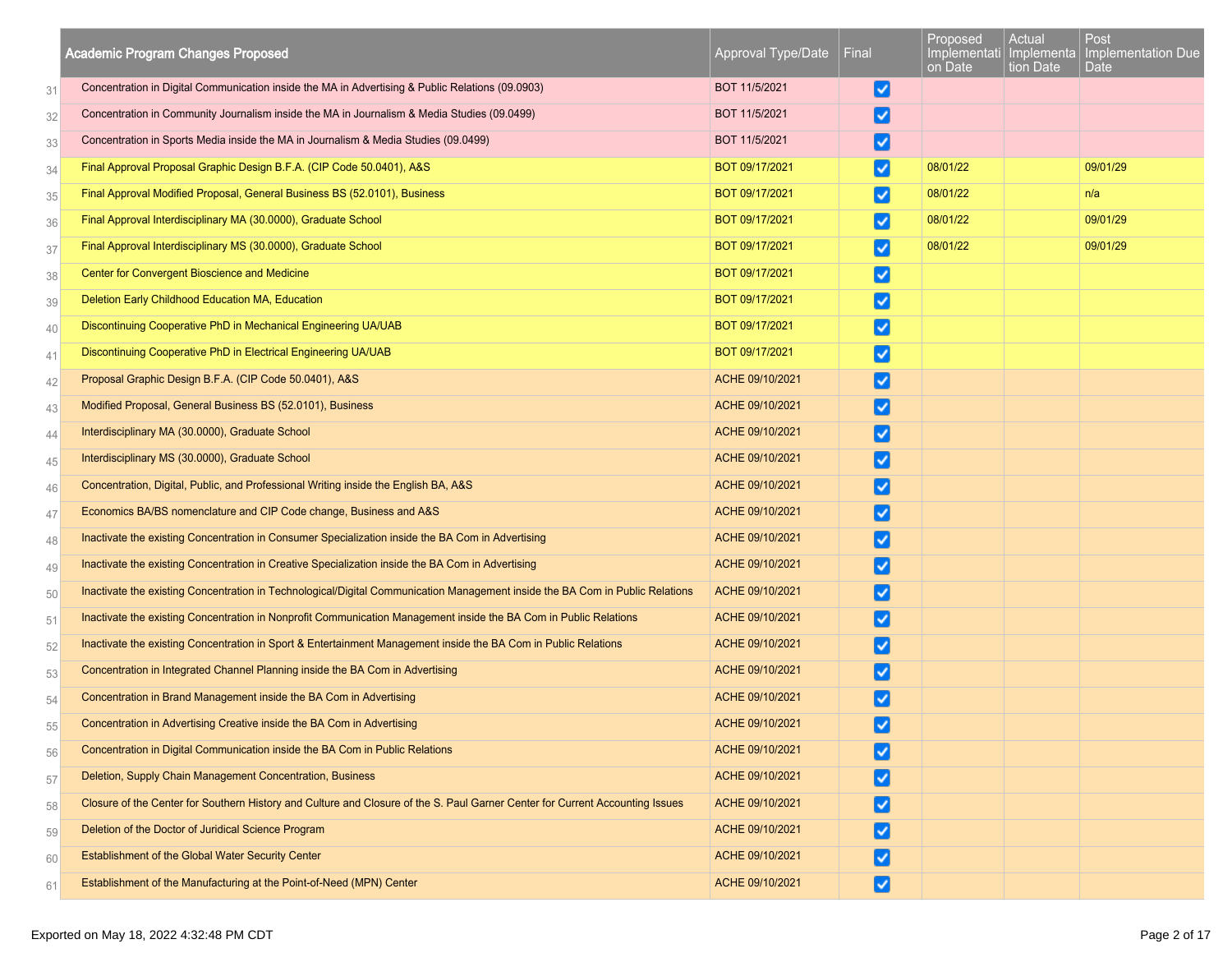|    | <b>Academic Program Changes Proposed</b>                                                                                      | Approval Type/Date | Final                        | Proposed<br>on Date | Actual<br>tion Date | Post<br>Implementati Implementa Implementation Due<br>Date |
|----|-------------------------------------------------------------------------------------------------------------------------------|--------------------|------------------------------|---------------------|---------------------|------------------------------------------------------------|
| 31 | Concentration in Digital Communication inside the MA in Advertising & Public Relations (09.0903)                              | BOT 11/5/2021      | M                            |                     |                     |                                                            |
| 32 | Concentration in Community Journalism inside the MA in Journalism & Media Studies (09.0499)                                   | BOT 11/5/2021      | ☑                            |                     |                     |                                                            |
| 33 | Concentration in Sports Media inside the MA in Journalism & Media Studies (09.0499)                                           | BOT 11/5/2021      | M                            |                     |                     |                                                            |
| 34 | Final Approval Proposal Graphic Design B.F.A. (CIP Code 50.0401), A&S                                                         | BOT 09/17/2021     | ☑                            | 08/01/22            |                     | 09/01/29                                                   |
| 35 | Final Approval Modified Proposal, General Business BS (52.0101), Business                                                     | BOT 09/17/2021     | ⋁                            | 08/01/22            |                     | n/a                                                        |
| 36 | Final Approval Interdisciplinary MA (30.0000), Graduate School                                                                | BOT 09/17/2021     | ☑                            | 08/01/22            |                     | 09/01/29                                                   |
| 37 | Final Approval Interdisciplinary MS (30.0000), Graduate School                                                                | BOT 09/17/2021     | M                            | 08/01/22            |                     | 09/01/29                                                   |
| 38 | Center for Convergent Bioscience and Medicine                                                                                 | BOT 09/17/2021     | ☑                            |                     |                     |                                                            |
| 39 | Deletion Early Childhood Education MA, Education                                                                              | BOT 09/17/2021     | ☑                            |                     |                     |                                                            |
| 40 | Discontinuing Cooperative PhD in Mechanical Engineering UA/UAB                                                                | BOT 09/17/2021     | Ø                            |                     |                     |                                                            |
| 41 | Discontinuing Cooperative PhD in Electrical Engineering UA/UAB                                                                | BOT 09/17/2021     | ☑                            |                     |                     |                                                            |
| 42 | Proposal Graphic Design B.F.A. (CIP Code 50.0401), A&S                                                                        | ACHE 09/10/2021    | V                            |                     |                     |                                                            |
| 43 | Modified Proposal, General Business BS (52.0101), Business                                                                    | ACHE 09/10/2021    | ⋁                            |                     |                     |                                                            |
| 44 | Interdisciplinary MA (30.0000), Graduate School                                                                               | ACHE 09/10/2021    | $\boldsymbol{ \mathcal{S} }$ |                     |                     |                                                            |
| 45 | Interdisciplinary MS (30.0000), Graduate School                                                                               | ACHE 09/10/2021    | ☑                            |                     |                     |                                                            |
| 46 | Concentration, Digital, Public, and Professional Writing inside the English BA, A&S                                           | ACHE 09/10/2021    | ⋁                            |                     |                     |                                                            |
| 47 | Economics BA/BS nomenclature and CIP Code change, Business and A&S                                                            | ACHE 09/10/2021    | ⋁                            |                     |                     |                                                            |
| 48 | Inactivate the existing Concentration in Consumer Specialization inside the BA Com in Advertising                             | ACHE 09/10/2021    | ☑                            |                     |                     |                                                            |
| 49 | Inactivate the existing Concentration in Creative Specialization inside the BA Com in Advertising                             | ACHE 09/10/2021    | ☑                            |                     |                     |                                                            |
| 50 | Inactivate the existing Concentration in Technological/Digital Communication Management inside the BA Com in Public Relations | ACHE 09/10/2021    | ⋁                            |                     |                     |                                                            |
| 51 | Inactivate the existing Concentration in Nonprofit Communication Management inside the BA Com in Public Relations             | ACHE 09/10/2021    | ☑                            |                     |                     |                                                            |
| 52 | Inactivate the existing Concentration in Sport & Entertainment Management inside the BA Com in Public Relations               | ACHE 09/10/2021    | M                            |                     |                     |                                                            |
| 53 | Concentration in Integrated Channel Planning inside the BA Com in Advertising                                                 | ACHE 09/10/2021    | ⋁                            |                     |                     |                                                            |
| 54 | Concentration in Brand Management inside the BA Com in Advertising                                                            | ACHE 09/10/2021    | ↵                            |                     |                     |                                                            |
| 55 | Concentration in Advertising Creative inside the BA Com in Advertising                                                        | ACHE 09/10/2021    | ◡                            |                     |                     |                                                            |
| 56 | Concentration in Digital Communication inside the BA Com in Public Relations                                                  | ACHE 09/10/2021    | ∣✓∣                          |                     |                     |                                                            |
| 57 | Deletion, Supply Chain Management Concentration, Business                                                                     | ACHE 09/10/2021    | √∣                           |                     |                     |                                                            |
| 58 | Closure of the Center for Southern History and Culture and Closure of the S. Paul Garner Center for Current Accounting Issues | ACHE 09/10/2021    | $\boldsymbol{ \mathcal{S} }$ |                     |                     |                                                            |
| 59 | Deletion of the Doctor of Juridical Science Program                                                                           | ACHE 09/10/2021    | ⋁                            |                     |                     |                                                            |
| 60 | Establishment of the Global Water Security Center                                                                             | ACHE 09/10/2021    | ↵                            |                     |                     |                                                            |
| 61 | Establishment of the Manufacturing at the Point-of-Need (MPN) Center                                                          | ACHE 09/10/2021    | ☑                            |                     |                     |                                                            |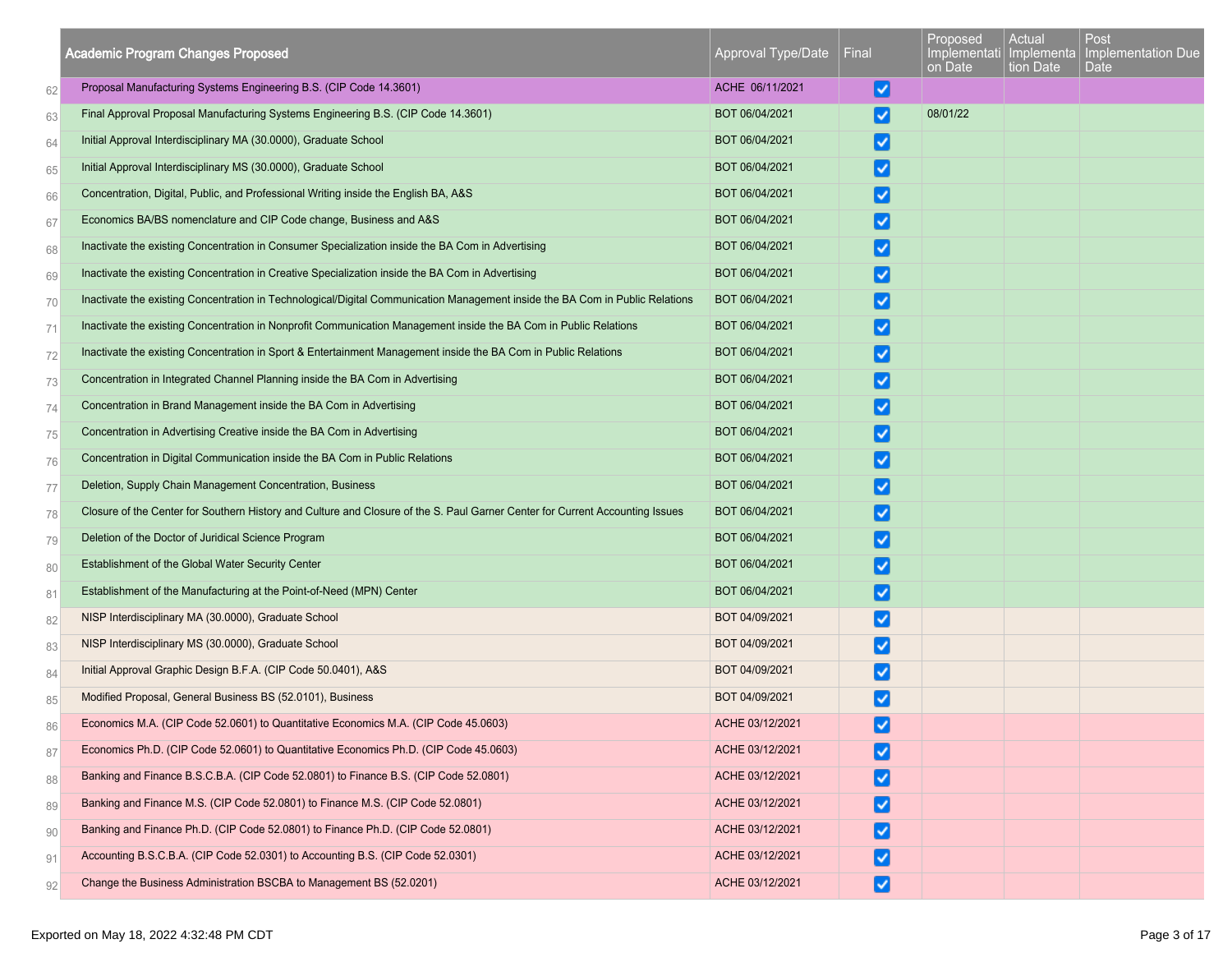|    | <b>Academic Program Changes Proposed</b>                                                                                      | Approval Type/Date | Final                  | Proposed<br>on Date | Actual<br>tion Date | Post<br>Implementati   Implementa   Implementation Due<br>Date |
|----|-------------------------------------------------------------------------------------------------------------------------------|--------------------|------------------------|---------------------|---------------------|----------------------------------------------------------------|
| 62 | Proposal Manufacturing Systems Engineering B.S. (CIP Code 14.3601)                                                            | ACHE 06/11/2021    | V                      |                     |                     |                                                                |
| 63 | Final Approval Proposal Manufacturing Systems Engineering B.S. (CIP Code 14.3601)                                             | BOT 06/04/2021     | ✓                      | 08/01/22            |                     |                                                                |
| 64 | Initial Approval Interdisciplinary MA (30.0000), Graduate School                                                              | BOT 06/04/2021     | $\vert\checkmark\vert$ |                     |                     |                                                                |
| 65 | Initial Approval Interdisciplinary MS (30.0000), Graduate School                                                              | BOT 06/04/2021     | $\vert\checkmark\vert$ |                     |                     |                                                                |
| 66 | Concentration, Digital, Public, and Professional Writing inside the English BA, A&S                                           | BOT 06/04/2021     |                        |                     |                     |                                                                |
| 67 | Economics BA/BS nomenclature and CIP Code change, Business and A&S                                                            | BOT 06/04/2021     | $\vert\checkmark\vert$ |                     |                     |                                                                |
| 68 | Inactivate the existing Concentration in Consumer Specialization inside the BA Com in Advertising                             | BOT 06/04/2021     |                        |                     |                     |                                                                |
| 69 | Inactivate the existing Concentration in Creative Specialization inside the BA Com in Advertising                             | BOT 06/04/2021     | √                      |                     |                     |                                                                |
| 70 | Inactivate the existing Concentration in Technological/Digital Communication Management inside the BA Com in Public Relations | BOT 06/04/2021     | $\vert\bm{\vee}\vert$  |                     |                     |                                                                |
| 71 | Inactivate the existing Concentration in Nonprofit Communication Management inside the BA Com in Public Relations             | BOT 06/04/2021     | ✓                      |                     |                     |                                                                |
| 72 | Inactivate the existing Concentration in Sport & Entertainment Management inside the BA Com in Public Relations               | BOT 06/04/2021     | $\vert\bm{\vee}\vert$  |                     |                     |                                                                |
| 73 | Concentration in Integrated Channel Planning inside the BA Com in Advertising                                                 | BOT 06/04/2021     | ↵                      |                     |                     |                                                                |
| 74 | Concentration in Brand Management inside the BA Com in Advertising                                                            | BOT 06/04/2021     | ✓                      |                     |                     |                                                                |
| 75 | Concentration in Advertising Creative inside the BA Com in Advertising                                                        | BOT 06/04/2021     | ✓                      |                     |                     |                                                                |
| 76 | Concentration in Digital Communication inside the BA Com in Public Relations                                                  | BOT 06/04/2021     | ∣√                     |                     |                     |                                                                |
| 77 | Deletion, Supply Chain Management Concentration, Business                                                                     | BOT 06/04/2021     | $\vert\checkmark\vert$ |                     |                     |                                                                |
| 78 | Closure of the Center for Southern History and Culture and Closure of the S. Paul Garner Center for Current Accounting Issues | BOT 06/04/2021     | ↵                      |                     |                     |                                                                |
| 79 | Deletion of the Doctor of Juridical Science Program                                                                           | BOT 06/04/2021     | $\vert\bm{\vee}\vert$  |                     |                     |                                                                |
| 80 | <b>Establishment of the Global Water Security Center</b>                                                                      | BOT 06/04/2021     | ✓                      |                     |                     |                                                                |
| 81 | Establishment of the Manufacturing at the Point-of-Need (MPN) Center                                                          | BOT 06/04/2021     | ∣√                     |                     |                     |                                                                |
| 82 | NISP Interdisciplinary MA (30.0000), Graduate School                                                                          | BOT 04/09/2021     | ☑                      |                     |                     |                                                                |
| 83 | NISP Interdisciplinary MS (30.0000), Graduate School                                                                          | BOT 04/09/2021     | ⊻                      |                     |                     |                                                                |
| 84 | Initial Approval Graphic Design B.F.A. (CIP Code 50.0401), A&S                                                                | BOT 04/09/2021     | $\vert\checkmark\vert$ |                     |                     |                                                                |
| 85 | Modified Proposal, General Business BS (52.0101), Business                                                                    | BOT 04/09/2021     |                        |                     |                     |                                                                |
| 86 | Economics M.A. (CIP Code 52.0601) to Quantitative Economics M.A. (CIP Code 45.0603)                                           | ACHE 03/12/2021    | ◡                      |                     |                     |                                                                |
| 87 | Economics Ph.D. (CIP Code 52.0601) to Quantitative Economics Ph.D. (CIP Code 45.0603)                                         | ACHE 03/12/2021    | ✓                      |                     |                     |                                                                |
| 88 | Banking and Finance B.S.C.B.A. (CIP Code 52.0801) to Finance B.S. (CIP Code 52.0801)                                          | ACHE 03/12/2021    |                        |                     |                     |                                                                |
| 89 | Banking and Finance M.S. (CIP Code 52.0801) to Finance M.S. (CIP Code 52.0801)                                                | ACHE 03/12/2021    | $\vert\checkmark\vert$ |                     |                     |                                                                |
| 90 | Banking and Finance Ph.D. (CIP Code 52.0801) to Finance Ph.D. (CIP Code 52.0801)                                              | ACHE 03/12/2021    | ✓                      |                     |                     |                                                                |
| 91 | Accounting B.S.C.B.A. (CIP Code 52.0301) to Accounting B.S. (CIP Code 52.0301)                                                | ACHE 03/12/2021    | ✓                      |                     |                     |                                                                |
| 92 | Change the Business Administration BSCBA to Management BS (52.0201)                                                           | ACHE 03/12/2021    | ∣√∣                    |                     |                     |                                                                |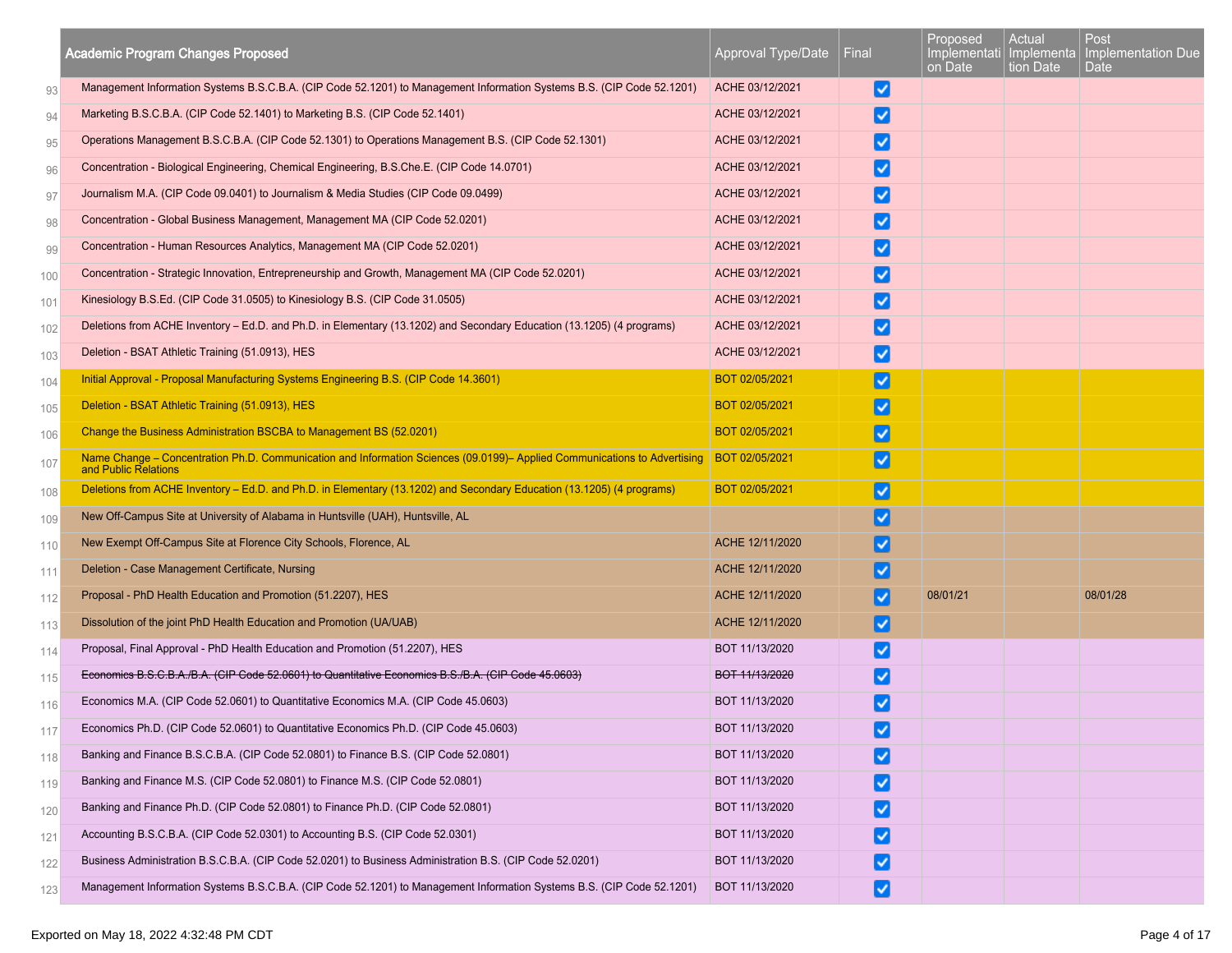|     | <b>Academic Program Changes Proposed</b>                                                                                                                           | Approval Type/Date | Final                | Proposed<br>Implementati   Implementa<br>on Date | Actual<br>tion Date | Post<br>Implementation Due<br>Date |
|-----|--------------------------------------------------------------------------------------------------------------------------------------------------------------------|--------------------|----------------------|--------------------------------------------------|---------------------|------------------------------------|
| 93  | Management Information Systems B.S.C.B.A. (CIP Code 52.1201) to Management Information Systems B.S. (CIP Code 52.1201)                                             | ACHE 03/12/2021    | V                    |                                                  |                     |                                    |
| 94  | Marketing B.S.C.B.A. (CIP Code 52.1401) to Marketing B.S. (CIP Code 52.1401)                                                                                       | ACHE 03/12/2021    |                      |                                                  |                     |                                    |
| 95  | Operations Management B.S.C.B.A. (CIP Code 52.1301) to Operations Management B.S. (CIP Code 52.1301)                                                               | ACHE 03/12/2021    | ✓                    |                                                  |                     |                                    |
| 96  | Concentration - Biological Engineering, Chemical Engineering, B.S.Che.E. (CIP Code 14.0701)                                                                        | ACHE 03/12/2021    |                      |                                                  |                     |                                    |
| 97  | Journalism M.A. (CIP Code 09.0401) to Journalism & Media Studies (CIP Code 09.0499)                                                                                | ACHE 03/12/2021    |                      |                                                  |                     |                                    |
| 98  | Concentration - Global Business Management, Management MA (CIP Code 52.0201)                                                                                       | ACHE 03/12/2021    | ✓                    |                                                  |                     |                                    |
| 99  | Concentration - Human Resources Analytics, Management MA (CIP Code 52.0201)                                                                                        | ACHE 03/12/2021    | ✓                    |                                                  |                     |                                    |
| 100 | Concentration - Strategic Innovation, Entrepreneurship and Growth, Management MA (CIP Code 52.0201)                                                                | ACHE 03/12/2021    | $\blacktriangledown$ |                                                  |                     |                                    |
| 101 | Kinesiology B.S.Ed. (CIP Code 31.0505) to Kinesiology B.S. (CIP Code 31.0505)                                                                                      | ACHE 03/12/2021    |                      |                                                  |                     |                                    |
| 102 | Deletions from ACHE Inventory - Ed.D. and Ph.D. in Elementary (13.1202) and Secondary Education (13.1205) (4 programs)                                             | ACHE 03/12/2021    | ✓                    |                                                  |                     |                                    |
| 103 | Deletion - BSAT Athletic Training (51.0913), HES                                                                                                                   | ACHE 03/12/2021    | $\blacktriangledown$ |                                                  |                     |                                    |
| 104 | Initial Approval - Proposal Manufacturing Systems Engineering B.S. (CIP Code 14.3601)                                                                              | BOT 02/05/2021     | ✓                    |                                                  |                     |                                    |
| 105 | Deletion - BSAT Athletic Training (51.0913), HES                                                                                                                   | BOT 02/05/2021     | ✓                    |                                                  |                     |                                    |
| 106 | Change the Business Administration BSCBA to Management BS (52.0201)                                                                                                | BOT 02/05/2021     | ✓                    |                                                  |                     |                                    |
| 107 | Name Change - Concentration Ph.D. Communication and Information Sciences (09.0199)- Applied Communications to Advertising   BOT 02/05/2021<br>and Public Relations |                    | V                    |                                                  |                     |                                    |
| 108 | Deletions from ACHE Inventory - Ed.D. and Ph.D. in Elementary (13.1202) and Secondary Education (13.1205) (4 programs)                                             | BOT 02/05/2021     | ✓                    |                                                  |                     |                                    |
| 109 | New Off-Campus Site at University of Alabama in Huntsville (UAH), Huntsville, AL                                                                                   |                    | ✓                    |                                                  |                     |                                    |
| 110 | New Exempt Off-Campus Site at Florence City Schools, Florence, AL                                                                                                  | ACHE 12/11/2020    |                      |                                                  |                     |                                    |
| 111 | Deletion - Case Management Certificate, Nursing                                                                                                                    | ACHE 12/11/2020    |                      |                                                  |                     |                                    |
| 112 | Proposal - PhD Health Education and Promotion (51.2207), HES                                                                                                       | ACHE 12/11/2020    |                      | 08/01/21                                         |                     | 08/01/28                           |
| 113 | Dissolution of the joint PhD Health Education and Promotion (UA/UAB)                                                                                               | ACHE 12/11/2020    |                      |                                                  |                     |                                    |
| 114 | Proposal, Final Approval - PhD Health Education and Promotion (51.2207), HES                                                                                       | BOT 11/13/2020     | ✓                    |                                                  |                     |                                    |
| 115 | Economics B.S.C.B.A./B.A. (CIP Code 52.0601) to Quantitative Economics B.S./B.A. (CIP Code 45.0603)                                                                | BOT 11/13/2020     | ✓                    |                                                  |                     |                                    |
| 116 | Economics M.A. (CIP Code 52.0601) to Quantitative Economics M.A. (CIP Code 45.0603)                                                                                | BOT 11/13/2020     |                      |                                                  |                     |                                    |
| 117 | Economics Ph.D. (CIP Code 52.0601) to Quantitative Economics Ph.D. (CIP Code 45.0603)                                                                              | BOT 11/13/2020     | ⊻                    |                                                  |                     |                                    |
| 118 | Banking and Finance B.S.C.B.A. (CIP Code 52.0801) to Finance B.S. (CIP Code 52.0801)                                                                               | BOT 11/13/2020     | V                    |                                                  |                     |                                    |
| 119 | Banking and Finance M.S. (CIP Code 52.0801) to Finance M.S. (CIP Code 52.0801)                                                                                     | BOT 11/13/2020     | V                    |                                                  |                     |                                    |
| 120 | Banking and Finance Ph.D. (CIP Code 52.0801) to Finance Ph.D. (CIP Code 52.0801)                                                                                   | BOT 11/13/2020     | V                    |                                                  |                     |                                    |
| 121 | Accounting B.S.C.B.A. (CIP Code 52.0301) to Accounting B.S. (CIP Code 52.0301)                                                                                     | BOT 11/13/2020     | ⊻                    |                                                  |                     |                                    |
| 122 | Business Administration B.S.C.B.A. (CIP Code 52.0201) to Business Administration B.S. (CIP Code 52.0201)                                                           | BOT 11/13/2020     | V                    |                                                  |                     |                                    |
| 123 | Management Information Systems B.S.C.B.A. (CIP Code 52.1201) to Management Information Systems B.S. (CIP Code 52.1201)                                             | BOT 11/13/2020     | V                    |                                                  |                     |                                    |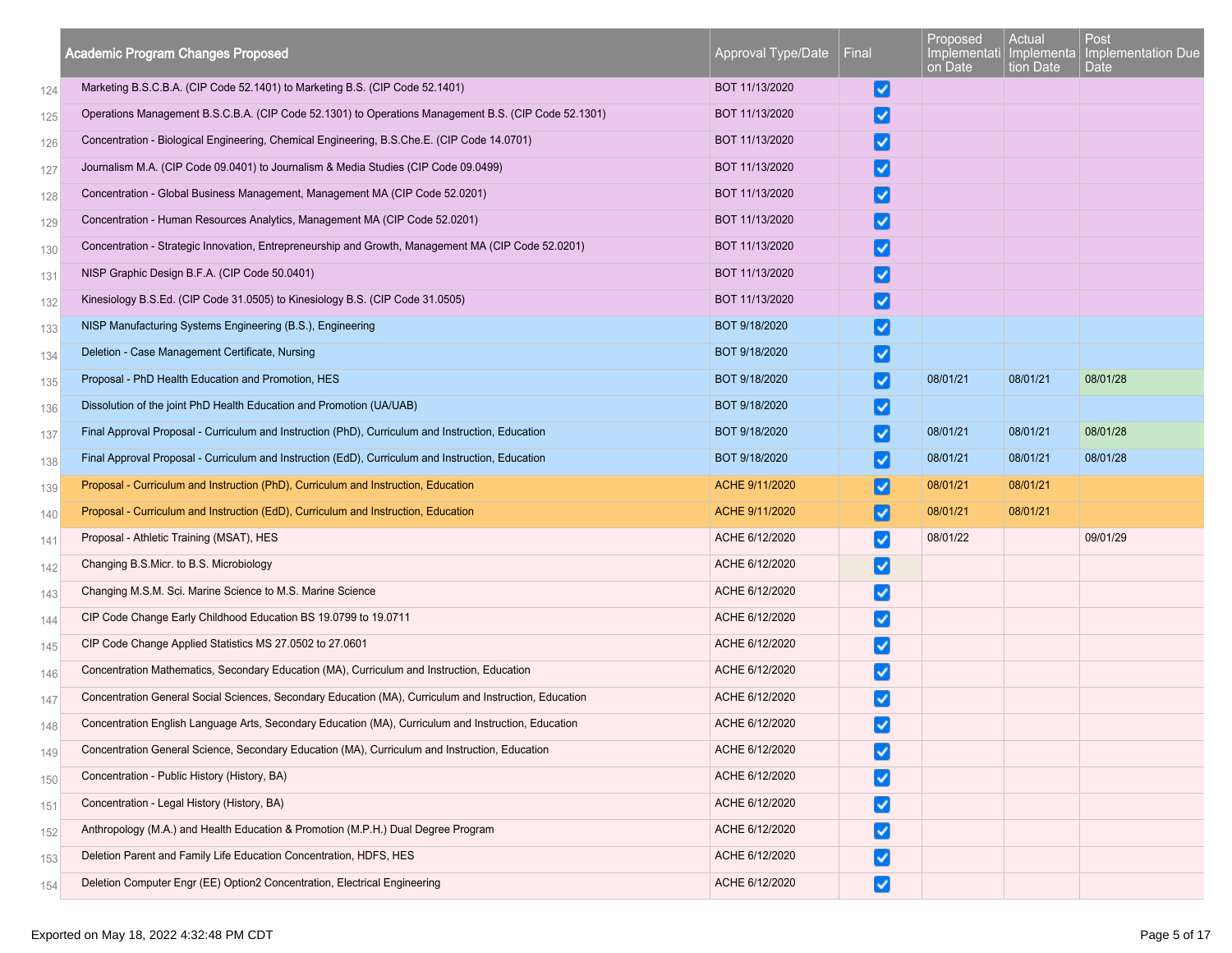|     | <b>Academic Program Changes Proposed</b>                                                               | Approval Type/Date | Final                | Proposed<br>Implementati   Implementa  <br>on Date | Actual<br>tion Date | Post<br>Implementation Due<br>Date |
|-----|--------------------------------------------------------------------------------------------------------|--------------------|----------------------|----------------------------------------------------|---------------------|------------------------------------|
| 124 | Marketing B.S.C.B.A. (CIP Code 52.1401) to Marketing B.S. (CIP Code 52.1401)                           | BOT 11/13/2020     | V                    |                                                    |                     |                                    |
| 125 | Operations Management B.S.C.B.A. (CIP Code 52.1301) to Operations Management B.S. (CIP Code 52.1301)   | BOT 11/13/2020     | ✓                    |                                                    |                     |                                    |
| 126 | Concentration - Biological Engineering, Chemical Engineering, B.S.Che.E. (CIP Code 14.0701)            | BOT 11/13/2020     | ✓                    |                                                    |                     |                                    |
| 127 | Journalism M.A. (CIP Code 09.0401) to Journalism & Media Studies (CIP Code 09.0499)                    | BOT 11/13/2020     | ☑                    |                                                    |                     |                                    |
| 128 | Concentration - Global Business Management, Management MA (CIP Code 52.0201)                           | BOT 11/13/2020     | $\blacktriangledown$ |                                                    |                     |                                    |
| 129 | Concentration - Human Resources Analytics, Management MA (CIP Code 52.0201)                            | BOT 11/13/2020     | ✓                    |                                                    |                     |                                    |
| 130 | Concentration - Strategic Innovation, Entrepreneurship and Growth, Management MA (CIP Code 52.0201)    | BOT 11/13/2020     | $\blacktriangledown$ |                                                    |                     |                                    |
| 131 | NISP Graphic Design B.F.A. (CIP Code 50.0401)                                                          | BOT 11/13/2020     | $\blacktriangledown$ |                                                    |                     |                                    |
| 132 | Kinesiology B.S.Ed. (CIP Code 31.0505) to Kinesiology B.S. (CIP Code 31.0505)                          | BOT 11/13/2020     | ☑                    |                                                    |                     |                                    |
| 133 | NISP Manufacturing Systems Engineering (B.S.), Engineering                                             | BOT 9/18/2020      | $\blacktriangledown$ |                                                    |                     |                                    |
| 134 | Deletion - Case Management Certificate, Nursing                                                        | BOT 9/18/2020      | V                    |                                                    |                     |                                    |
| 135 | Proposal - PhD Health Education and Promotion, HES                                                     | BOT 9/18/2020      | ✓                    | 08/01/21                                           | 08/01/21            | 08/01/28                           |
| 136 | Dissolution of the joint PhD Health Education and Promotion (UA/UAB)                                   | BOT 9/18/2020      | $\blacktriangledown$ |                                                    |                     |                                    |
| 137 | Final Approval Proposal - Curriculum and Instruction (PhD), Curriculum and Instruction, Education      | BOT 9/18/2020      | ⊻                    | 08/01/21                                           | 08/01/21            | 08/01/28                           |
| 138 | Final Approval Proposal - Curriculum and Instruction (EdD), Curriculum and Instruction, Education      | BOT 9/18/2020      | $\blacktriangledown$ | 08/01/21                                           | 08/01/21            | 08/01/28                           |
| 139 | Proposal - Curriculum and Instruction (PhD), Curriculum and Instruction, Education                     | ACHE 9/11/2020     | ✓                    | 08/01/21                                           | 08/01/21            |                                    |
| 140 | Proposal - Curriculum and Instruction (EdD), Curriculum and Instruction, Education                     | ACHE 9/11/2020     | ✓                    | 08/01/21                                           | 08/01/21            |                                    |
| 141 | Proposal - Athletic Training (MSAT), HES                                                               | ACHE 6/12/2020     | √                    | 08/01/22                                           |                     | 09/01/29                           |
| 142 | Changing B.S.Micr. to B.S. Microbiology                                                                | ACHE 6/12/2020     | ⊻                    |                                                    |                     |                                    |
| 143 | Changing M.S.M. Sci. Marine Science to M.S. Marine Science                                             | ACHE 6/12/2020     | $\blacktriangledown$ |                                                    |                     |                                    |
| 144 | CIP Code Change Early Childhood Education BS 19.0799 to 19.0711                                        | ACHE 6/12/2020     | ✓                    |                                                    |                     |                                    |
| 145 | CIP Code Change Applied Statistics MS 27.0502 to 27.0601                                               | ACHE 6/12/2020     | $\blacktriangledown$ |                                                    |                     |                                    |
| 146 | Concentration Mathematics, Secondary Education (MA), Curriculum and Instruction, Education             | ACHE 6/12/2020     | $\blacktriangledown$ |                                                    |                     |                                    |
| 147 | Concentration General Social Sciences, Secondary Education (MA), Curriculum and Instruction, Education | ACHE 6/12/2020     | ✓                    |                                                    |                     |                                    |
| 148 | Concentration English Language Arts, Secondary Education (MA), Curriculum and Instruction, Education   | ACHE 6/12/2020     | ◡                    |                                                    |                     |                                    |
| 149 | Concentration General Science, Secondary Education (MA), Curriculum and Instruction, Education         | ACHE 6/12/2020     | M                    |                                                    |                     |                                    |
| 150 | Concentration - Public History (History, BA)                                                           | ACHE 6/12/2020     | ☑                    |                                                    |                     |                                    |
| 151 | Concentration - Legal History (History, BA)                                                            | ACHE 6/12/2020     | M                    |                                                    |                     |                                    |
| 152 | Anthropology (M.A.) and Health Education & Promotion (M.P.H.) Dual Degree Program                      | ACHE 6/12/2020     | ⊻                    |                                                    |                     |                                    |
| 153 | Deletion Parent and Family Life Education Concentration, HDFS, HES                                     | ACHE 6/12/2020     | $\blacktriangledown$ |                                                    |                     |                                    |
| 154 | Deletion Computer Engr (EE) Option2 Concentration, Electrical Engineering                              | ACHE 6/12/2020     | M                    |                                                    |                     |                                    |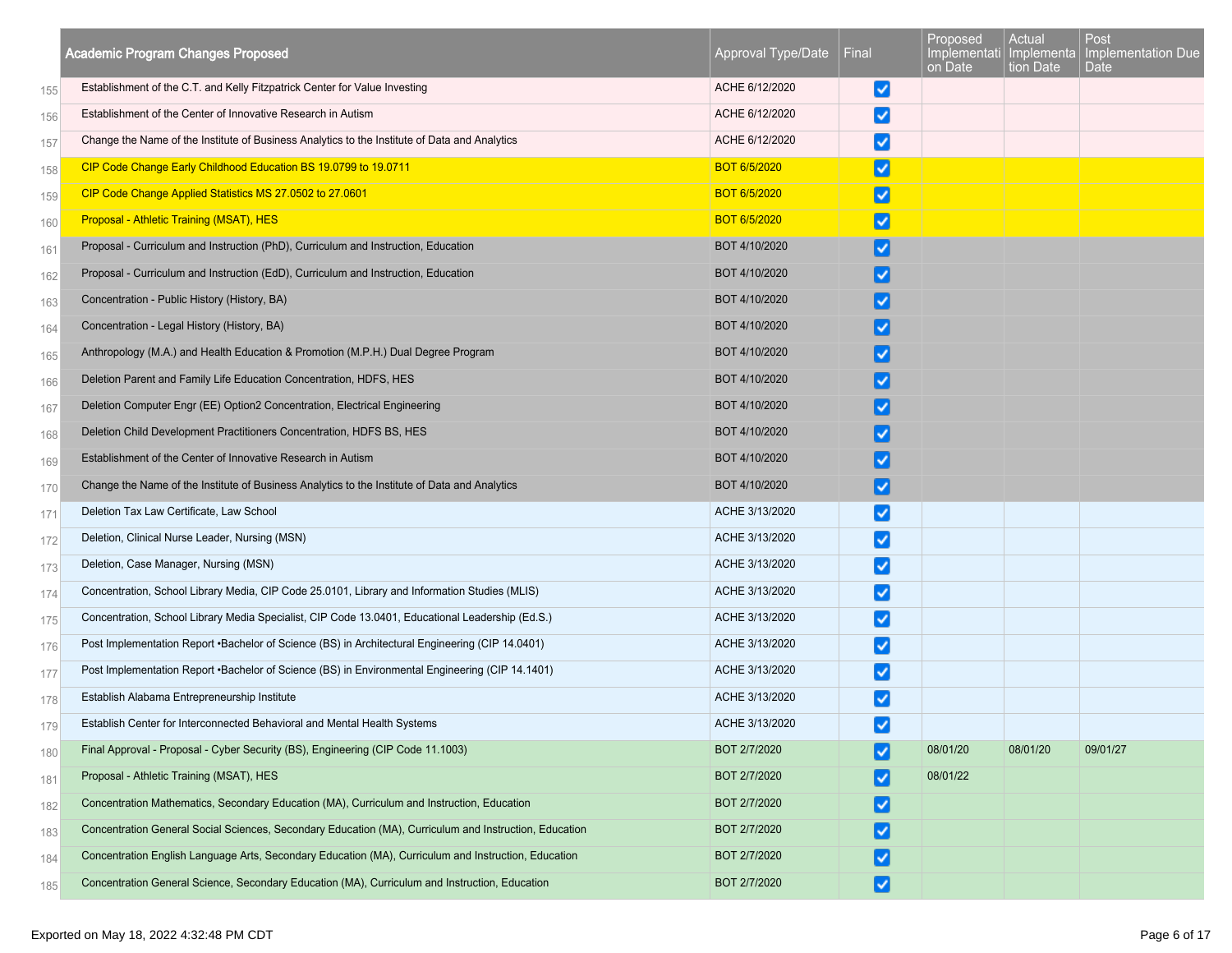|     | <b>Academic Program Changes Proposed</b>                                                               | Approval Type/Date  | Final                    | Proposed<br>Implementati<br>on Date | Actual<br>Implementa<br>tion Date | Post<br>Implementation Due<br>Date |
|-----|--------------------------------------------------------------------------------------------------------|---------------------|--------------------------|-------------------------------------|-----------------------------------|------------------------------------|
| 155 | Establishment of the C.T. and Kelly Fitzpatrick Center for Value Investing                             | ACHE 6/12/2020      | ⋁                        |                                     |                                   |                                    |
| 156 | Establishment of the Center of Innovative Research in Autism                                           | ACHE 6/12/2020      | $\vert\checkmark\vert$   |                                     |                                   |                                    |
| 157 | Change the Name of the Institute of Business Analytics to the Institute of Data and Analytics          | ACHE 6/12/2020      | $\vert\checkmark\vert$   |                                     |                                   |                                    |
| 158 | CIP Code Change Early Childhood Education BS 19.0799 to 19.0711                                        | <b>BOT 6/5/2020</b> | ☑                        |                                     |                                   |                                    |
| 159 | CIP Code Change Applied Statistics MS 27.0502 to 27.0601                                               | <b>BOT 6/5/2020</b> | び                        |                                     |                                   |                                    |
| 160 | Proposal - Athletic Training (MSAT), HES                                                               | <b>BOT 6/5/2020</b> | $\vert \checkmark \vert$ |                                     |                                   |                                    |
| 161 | Proposal - Curriculum and Instruction (PhD), Curriculum and Instruction, Education                     | BOT 4/10/2020       | ⊻                        |                                     |                                   |                                    |
| 162 | Proposal - Curriculum and Instruction (EdD), Curriculum and Instruction, Education                     | BOT 4/10/2020       |                          |                                     |                                   |                                    |
| 163 | Concentration - Public History (History, BA)                                                           | BOT 4/10/2020       |                          |                                     |                                   |                                    |
| 164 | Concentration - Legal History (History, BA)                                                            | BOT 4/10/2020       |                          |                                     |                                   |                                    |
| 165 | Anthropology (M.A.) and Health Education & Promotion (M.P.H.) Dual Degree Program                      | BOT 4/10/2020       | ✓                        |                                     |                                   |                                    |
| 166 | Deletion Parent and Family Life Education Concentration, HDFS, HES                                     | BOT 4/10/2020       |                          |                                     |                                   |                                    |
| 167 | Deletion Computer Engr (EE) Option2 Concentration, Electrical Engineering                              | BOT 4/10/2020       | ✓                        |                                     |                                   |                                    |
| 168 | Deletion Child Development Practitioners Concentration, HDFS BS, HES                                   | BOT 4/10/2020       |                          |                                     |                                   |                                    |
| 169 | Establishment of the Center of Innovative Research in Autism                                           | BOT 4/10/2020       |                          |                                     |                                   |                                    |
| 170 | Change the Name of the Institute of Business Analytics to the Institute of Data and Analytics          | BOT 4/10/2020       | $\vert\checkmark\vert$   |                                     |                                   |                                    |
| 171 | Deletion Tax Law Certificate, Law School                                                               | ACHE 3/13/2020      | ⊻                        |                                     |                                   |                                    |
| 172 | Deletion, Clinical Nurse Leader, Nursing (MSN)                                                         | ACHE 3/13/2020      | $\vert\checkmark\vert$   |                                     |                                   |                                    |
| 173 | Deletion, Case Manager, Nursing (MSN)                                                                  | ACHE 3/13/2020      | $\vert\checkmark\vert$   |                                     |                                   |                                    |
| 174 | Concentration, School Library Media, CIP Code 25.0101, Library and Information Studies (MLIS)          | ACHE 3/13/2020      | ⊻                        |                                     |                                   |                                    |
| 175 | Concentration, School Library Media Specialist, CIP Code 13.0401, Educational Leadership (Ed.S.)       | ACHE 3/13/2020      | $\vert\checkmark\vert$   |                                     |                                   |                                    |
| 176 | Post Implementation Report •Bachelor of Science (BS) in Architectural Engineering (CIP 14.0401)        | ACHE 3/13/2020      | $\vert\checkmark\vert$   |                                     |                                   |                                    |
| 177 | Post Implementation Report •Bachelor of Science (BS) in Environmental Engineering (CIP 14.1401)        | ACHE 3/13/2020      | $\vert\checkmark\vert$   |                                     |                                   |                                    |
| 178 | Establish Alabama Entrepreneurship Institute                                                           | ACHE 3/13/2020      | ✓                        |                                     |                                   |                                    |
| 179 | Establish Center for Interconnected Behavioral and Mental Health Systems                               | ACHE 3/13/2020      | ☑                        |                                     |                                   |                                    |
| 180 | Final Approval - Proposal - Cyber Security (BS), Engineering (CIP Code 11.1003)                        | BOT 2/7/2020        | √                        | 08/01/20                            | 08/01/20                          | 09/01/27                           |
| 181 | Proposal - Athletic Training (MSAT), HES                                                               | BOT 2/7/2020        |                          | 08/01/22                            |                                   |                                    |
| 182 | Concentration Mathematics, Secondary Education (MA), Curriculum and Instruction, Education             | BOT 2/7/2020        | ⊻                        |                                     |                                   |                                    |
| 183 | Concentration General Social Sciences, Secondary Education (MA), Curriculum and Instruction, Education | BOT 2/7/2020        | ⊻                        |                                     |                                   |                                    |
| 184 | Concentration English Language Arts, Secondary Education (MA), Curriculum and Instruction, Education   | BOT 2/7/2020        | ⊻                        |                                     |                                   |                                    |
| 185 | Concentration General Science, Secondary Education (MA), Curriculum and Instruction, Education         | BOT 2/7/2020        | ⊻                        |                                     |                                   |                                    |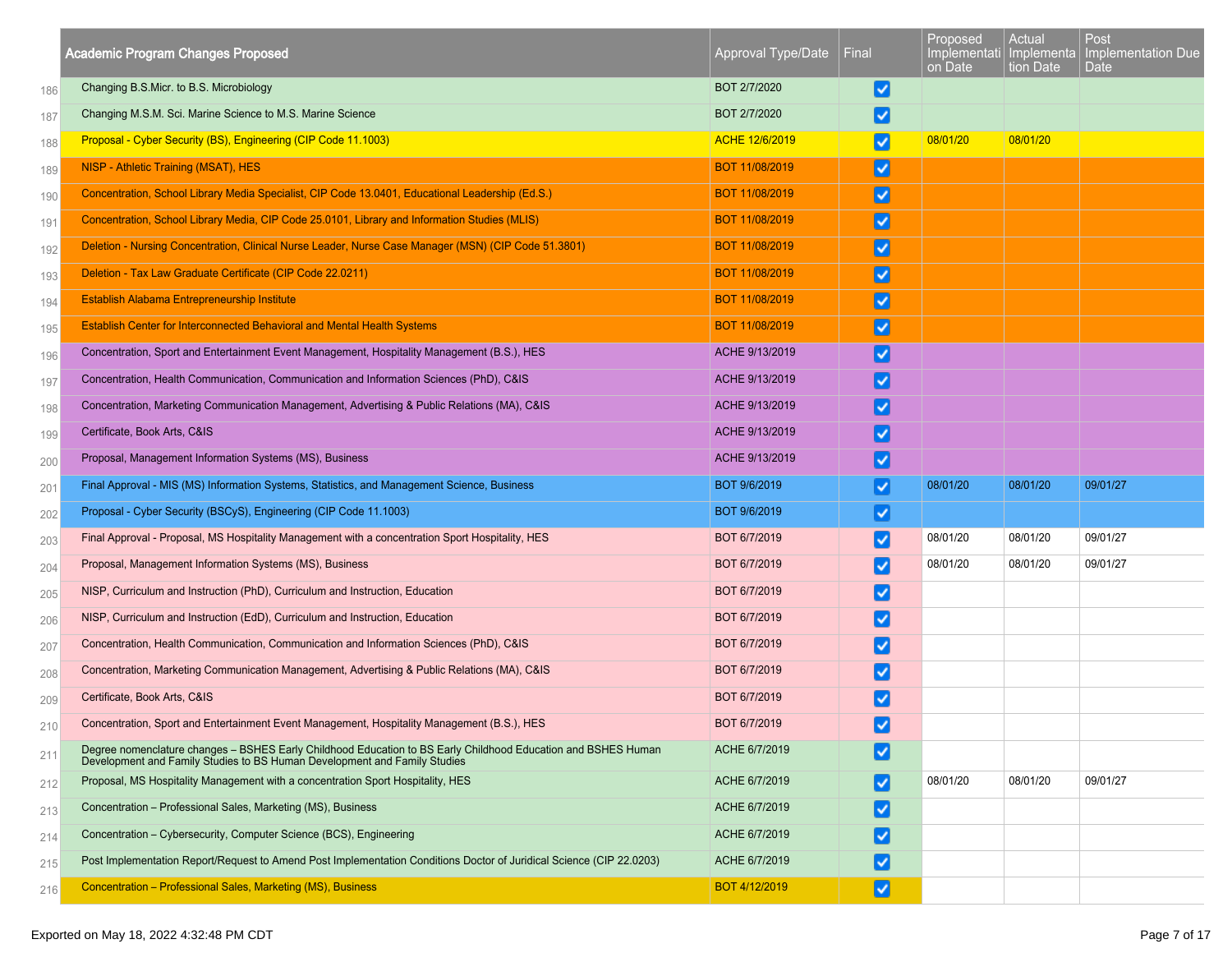|     | <b>Academic Program Changes Proposed</b>                                                                                                                                                   | Approval Type/Date | Final                  | Proposed<br>on Date | Actual<br>tion Date | Post<br>Implementati Implementa Implementation Due<br>Date |
|-----|--------------------------------------------------------------------------------------------------------------------------------------------------------------------------------------------|--------------------|------------------------|---------------------|---------------------|------------------------------------------------------------|
| 186 | Changing B.S.Micr. to B.S. Microbiology                                                                                                                                                    | BOT 2/7/2020       | ⊻                      |                     |                     |                                                            |
| 187 | Changing M.S.M. Sci. Marine Science to M.S. Marine Science                                                                                                                                 | BOT 2/7/2020       | $\vert\checkmark\vert$ |                     |                     |                                                            |
| 188 | Proposal - Cyber Security (BS), Engineering (CIP Code 11.1003)                                                                                                                             | ACHE 12/6/2019     | ✓                      | 08/01/20            | 08/01/20            |                                                            |
| 189 | NISP - Athletic Training (MSAT), HES                                                                                                                                                       | BOT 11/08/2019     | $\blacktriangledown$   |                     |                     |                                                            |
| 190 | Concentration, School Library Media Specialist, CIP Code 13.0401, Educational Leadership (Ed.S.)                                                                                           | BOT 11/08/2019     | ☑                      |                     |                     |                                                            |
| 191 | Concentration, School Library Media, CIP Code 25.0101, Library and Information Studies (MLIS)                                                                                              | BOT 11/08/2019     | ⊻                      |                     |                     |                                                            |
| 192 | Deletion - Nursing Concentration, Clinical Nurse Leader, Nurse Case Manager (MSN) (CIP Code 51.3801)                                                                                       | BOT 11/08/2019     | ⊻                      |                     |                     |                                                            |
| 193 | Deletion - Tax Law Graduate Certificate (CIP Code 22.0211)                                                                                                                                 | BOT 11/08/2019     | ☑                      |                     |                     |                                                            |
| 194 | Establish Alabama Entrepreneurship Institute                                                                                                                                               | BOT 11/08/2019     | ⊻                      |                     |                     |                                                            |
| 195 | Establish Center for Interconnected Behavioral and Mental Health Systems                                                                                                                   | BOT 11/08/2019     | ⊻                      |                     |                     |                                                            |
| 196 | Concentration, Sport and Entertainment Event Management, Hospitality Management (B.S.), HES                                                                                                | ACHE 9/13/2019     | $\vert\checkmark\vert$ |                     |                     |                                                            |
| 197 | Concentration, Health Communication, Communication and Information Sciences (PhD), C&IS                                                                                                    | ACHE 9/13/2019     | ⊻                      |                     |                     |                                                            |
| 198 | Concentration, Marketing Communication Management, Advertising & Public Relations (MA), C&IS                                                                                               | ACHE 9/13/2019     | ⊻                      |                     |                     |                                                            |
| 199 | Certificate, Book Arts, C&IS                                                                                                                                                               | ACHE 9/13/2019     | ⊻                      |                     |                     |                                                            |
| 200 | Proposal, Management Information Systems (MS), Business                                                                                                                                    | ACHE 9/13/2019     | ⊻                      |                     |                     |                                                            |
| 201 | Final Approval - MIS (MS) Information Systems, Statistics, and Management Science, Business                                                                                                | BOT 9/6/2019       | ⊻                      | 08/01/20            | 08/01/20            | 09/01/27                                                   |
| 202 | Proposal - Cyber Security (BSCyS), Engineering (CIP Code 11.1003)                                                                                                                          | BOT 9/6/2019       | ⊻                      |                     |                     |                                                            |
| 203 | Final Approval - Proposal, MS Hospitality Management with a concentration Sport Hospitality, HES                                                                                           | BOT 6/7/2019       | $\vert\checkmark\vert$ | 08/01/20            | 08/01/20            | 09/01/27                                                   |
| 204 | Proposal, Management Information Systems (MS), Business                                                                                                                                    | BOT 6/7/2019       | ⊻                      | 08/01/20            | 08/01/20            | 09/01/27                                                   |
| 205 | NISP, Curriculum and Instruction (PhD), Curriculum and Instruction, Education                                                                                                              | BOT 6/7/2019       | ⊻                      |                     |                     |                                                            |
| 206 | NISP, Curriculum and Instruction (EdD), Curriculum and Instruction, Education                                                                                                              | BOT 6/7/2019       | ⊻                      |                     |                     |                                                            |
| 207 | Concentration, Health Communication, Communication and Information Sciences (PhD), C&IS                                                                                                    | BOT 6/7/2019       | ⊻                      |                     |                     |                                                            |
| 208 | Concentration, Marketing Communication Management, Advertising & Public Relations (MA), C&IS                                                                                               | BOT 6/7/2019       | $\vert\checkmark\vert$ |                     |                     |                                                            |
| 209 | Certificate, Book Arts, C&IS                                                                                                                                                               | BOT 6/7/2019       | ⊻                      |                     |                     |                                                            |
| 210 | Concentration, Sport and Entertainment Event Management, Hospitality Management (B.S.), HES                                                                                                | BOT 6/7/2019       | ◡                      |                     |                     |                                                            |
| 211 | Degree nomenclature changes - BSHES Early Childhood Education to BS Early Childhood Education and BSHES Human<br>Development and Family Studies to BS Human Development and Family Studies | ACHE 6/7/2019      | V                      |                     |                     |                                                            |
| 212 | Proposal, MS Hospitality Management with a concentration Sport Hospitality, HES                                                                                                            | ACHE 6/7/2019      | ✓                      | 08/01/20            | 08/01/20            | 09/01/27                                                   |
| 213 | Concentration - Professional Sales, Marketing (MS), Business                                                                                                                               | ACHE 6/7/2019      | ⊻                      |                     |                     |                                                            |
| 214 | Concentration - Cybersecurity, Computer Science (BCS), Engineering                                                                                                                         | ACHE 6/7/2019      | ⊻                      |                     |                     |                                                            |
| 215 | Post Implementation Report/Request to Amend Post Implementation Conditions Doctor of Juridical Science (CIP 22.0203)                                                                       | ACHE 6/7/2019      | ⊻                      |                     |                     |                                                            |
| 216 | Concentration - Professional Sales, Marketing (MS), Business                                                                                                                               | BOT 4/12/2019      | ☑                      |                     |                     |                                                            |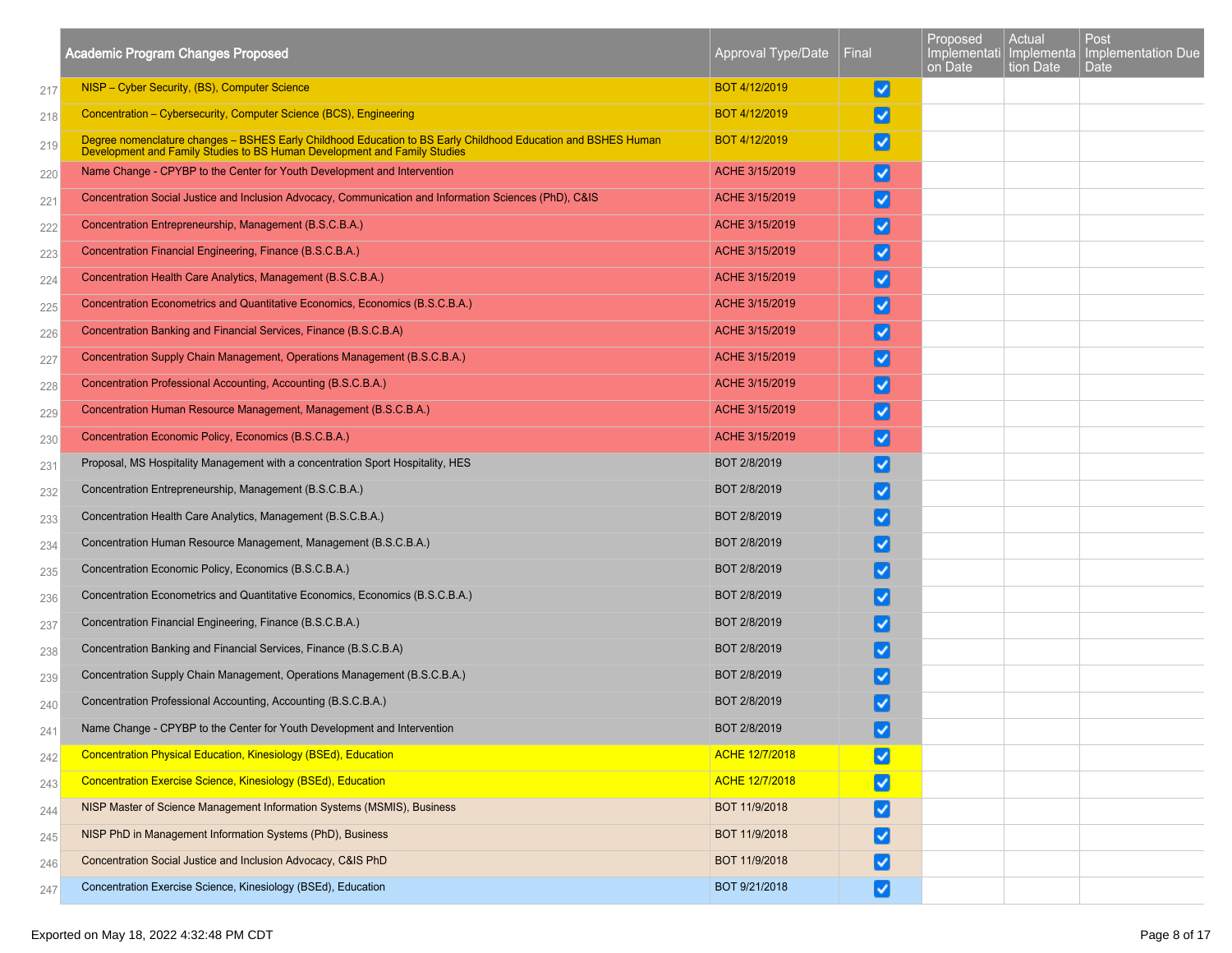|     | <b>Academic Program Changes Proposed</b>                                                                                                                                                   | Approval Type/Date    | Final                  | Proposed<br>Implementati   Implementa  <br>on Date | Actual<br>tion Date | Post<br>Implementation Due<br><b>Date</b> |
|-----|--------------------------------------------------------------------------------------------------------------------------------------------------------------------------------------------|-----------------------|------------------------|----------------------------------------------------|---------------------|-------------------------------------------|
| 217 | NISP - Cyber Security, (BS), Computer Science                                                                                                                                              | BOT 4/12/2019         | M                      |                                                    |                     |                                           |
| 218 | Concentration – Cybersecurity, Computer Science (BCS), Engineering                                                                                                                         | BOT 4/12/2019         | ☑                      |                                                    |                     |                                           |
| 219 | Degree nomenclature changes - BSHES Early Childhood Education to BS Early Childhood Education and BSHES Human<br>Development and Family Studies to BS Human Development and Family Studies | BOT 4/12/2019         | M                      |                                                    |                     |                                           |
| 220 | Name Change - CPYBP to the Center for Youth Development and Intervention                                                                                                                   | ACHE 3/15/2019        | $ \mathbf{v} $         |                                                    |                     |                                           |
| 221 | Concentration Social Justice and Inclusion Advocacy, Communication and Information Sciences (PhD), C&IS                                                                                    | ACHE 3/15/2019        | M                      |                                                    |                     |                                           |
| 222 | Concentration Entrepreneurship, Management (B.S.C.B.A.)                                                                                                                                    | ACHE 3/15/2019        | M                      |                                                    |                     |                                           |
| 223 | Concentration Financial Engineering, Finance (B.S.C.B.A.)                                                                                                                                  | ACHE 3/15/2019        | M                      |                                                    |                     |                                           |
| 224 | Concentration Health Care Analytics, Management (B.S.C.B.A.)                                                                                                                               | ACHE 3/15/2019        | ⊻                      |                                                    |                     |                                           |
| 225 | Concentration Econometrics and Quantitative Economics, Economics (B.S.C.B.A.)                                                                                                              | ACHE 3/15/2019        | M                      |                                                    |                     |                                           |
| 226 | Concentration Banking and Financial Services, Finance (B.S.C.B.A)                                                                                                                          | ACHE 3/15/2019        | M                      |                                                    |                     |                                           |
| 227 | Concentration Supply Chain Management, Operations Management (B.S.C.B.A.)                                                                                                                  | ACHE 3/15/2019        | M                      |                                                    |                     |                                           |
| 228 | Concentration Professional Accounting, Accounting (B.S.C.B.A.)                                                                                                                             | ACHE 3/15/2019        | M                      |                                                    |                     |                                           |
| 229 | Concentration Human Resource Management, Management (B.S.C.B.A.)                                                                                                                           | ACHE 3/15/2019        | $\vert\mathbf{v}\vert$ |                                                    |                     |                                           |
| 230 | Concentration Economic Policy, Economics (B.S.C.B.A.)                                                                                                                                      | ACHE 3/15/2019        | ⊻                      |                                                    |                     |                                           |
| 231 | Proposal, MS Hospitality Management with a concentration Sport Hospitality, HES                                                                                                            | BOT 2/8/2019          | ∣V∣                    |                                                    |                     |                                           |
| 232 | Concentration Entrepreneurship, Management (B.S.C.B.A.)                                                                                                                                    | BOT 2/8/2019          | ∣V∣                    |                                                    |                     |                                           |
| 233 | Concentration Health Care Analytics, Management (B.S.C.B.A.)                                                                                                                               | BOT 2/8/2019          | ☑                      |                                                    |                     |                                           |
| 234 | Concentration Human Resource Management, Management (B.S.C.B.A.)                                                                                                                           | BOT 2/8/2019          | √                      |                                                    |                     |                                           |
| 235 | Concentration Economic Policy, Economics (B.S.C.B.A.)                                                                                                                                      | BOT 2/8/2019          | ∣✓∣                    |                                                    |                     |                                           |
| 236 | Concentration Econometrics and Quantitative Economics, Economics (B.S.C.B.A.)                                                                                                              | BOT 2/8/2019          | ∣V                     |                                                    |                     |                                           |
| 237 | Concentration Financial Engineering, Finance (B.S.C.B.A.)                                                                                                                                  | BOT 2/8/2019          | ∣V∣                    |                                                    |                     |                                           |
| 238 | Concentration Banking and Financial Services, Finance (B.S.C.B.A)                                                                                                                          | BOT 2/8/2019          | ∣V                     |                                                    |                     |                                           |
| 239 | Concentration Supply Chain Management, Operations Management (B.S.C.B.A.)                                                                                                                  | BOT 2/8/2019          | ∣V∣                    |                                                    |                     |                                           |
| 240 | Concentration Professional Accounting, Accounting (B.S.C.B.A.)                                                                                                                             | BOT 2/8/2019          | ✓                      |                                                    |                     |                                           |
| 241 | Name Change - CPYBP to the Center for Youth Development and Intervention                                                                                                                   | BOT 2/8/2019          | M                      |                                                    |                     |                                           |
| 242 | Concentration Physical Education, Kinesiology (BSEd), Education                                                                                                                            | <b>ACHE 12/7/2018</b> | ☑                      |                                                    |                     |                                           |
| 243 | Concentration Exercise Science, Kinesiology (BSEd), Education                                                                                                                              | ACHE 12/7/2018        | ☑                      |                                                    |                     |                                           |
| 244 | NISP Master of Science Management Information Systems (MSMIS), Business                                                                                                                    | BOT 11/9/2018         | M                      |                                                    |                     |                                           |
| 245 | NISP PhD in Management Information Systems (PhD), Business                                                                                                                                 | BOT 11/9/2018         | ⊻                      |                                                    |                     |                                           |
| 246 | Concentration Social Justice and Inclusion Advocacy, C&IS PhD                                                                                                                              | BOT 11/9/2018         | M                      |                                                    |                     |                                           |
| 247 | Concentration Exercise Science, Kinesiology (BSEd), Education                                                                                                                              | BOT 9/21/2018         | Ø                      |                                                    |                     |                                           |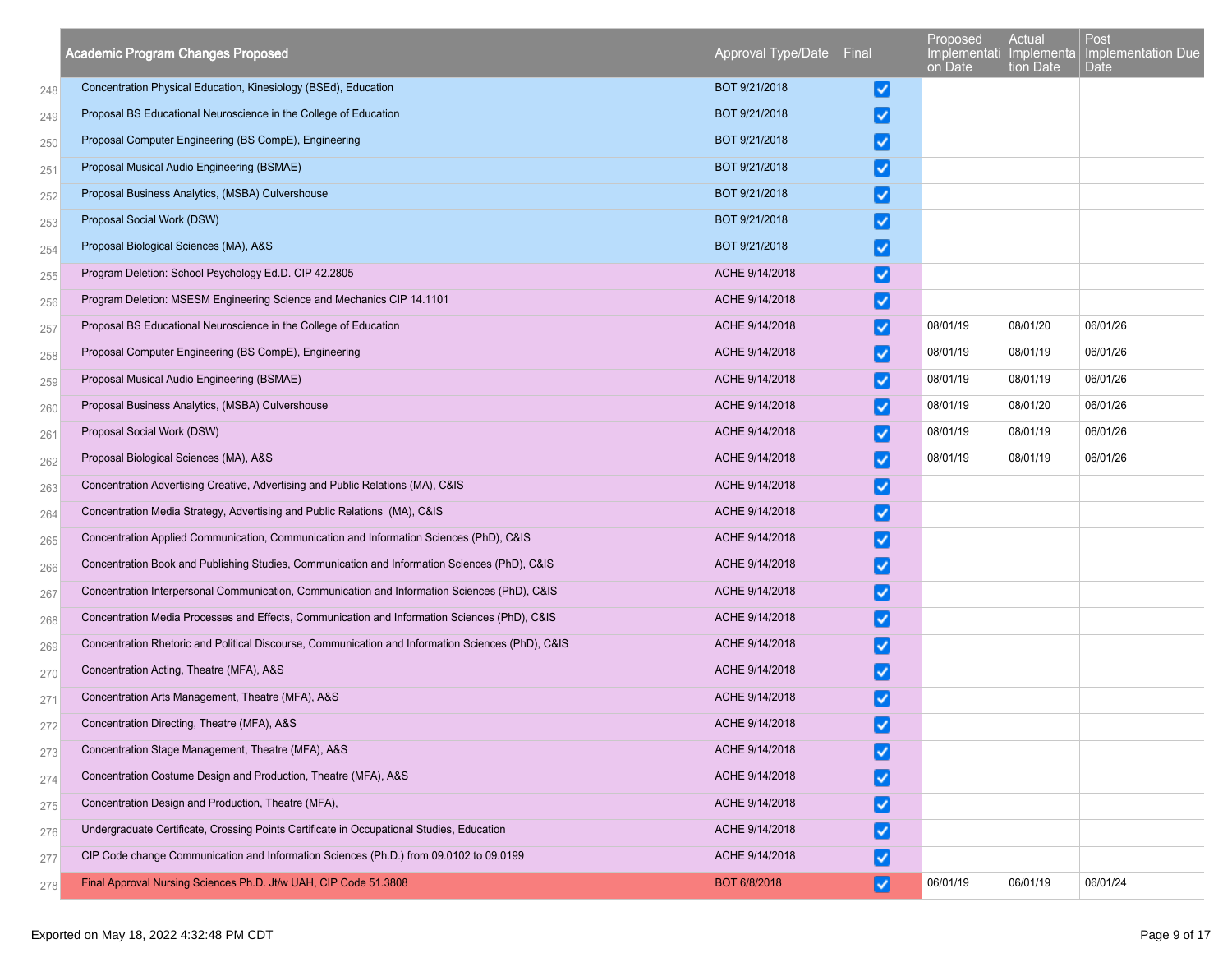|     | <b>Academic Program Changes Proposed</b>                                                           | Approval Type/Date | Final                  | Proposed<br>on Date | Actual<br>tion Date | Post<br>Implementati Implementa Implementation Due<br>Date |
|-----|----------------------------------------------------------------------------------------------------|--------------------|------------------------|---------------------|---------------------|------------------------------------------------------------|
| 248 | Concentration Physical Education, Kinesiology (BSEd), Education                                    | BOT 9/21/2018      | V                      |                     |                     |                                                            |
| 249 | Proposal BS Educational Neuroscience in the College of Education                                   | BOT 9/21/2018      | $\vert\checkmark\vert$ |                     |                     |                                                            |
| 250 | Proposal Computer Engineering (BS CompE), Engineering                                              | BOT 9/21/2018      | V                      |                     |                     |                                                            |
| 251 | Proposal Musical Audio Engineering (BSMAE)                                                         | BOT 9/21/2018      | V                      |                     |                     |                                                            |
| 252 | Proposal Business Analytics, (MSBA) Culvershouse                                                   | BOT 9/21/2018      | ⊻                      |                     |                     |                                                            |
| 253 | Proposal Social Work (DSW)                                                                         | BOT 9/21/2018      | ☑                      |                     |                     |                                                            |
| 254 | Proposal Biological Sciences (MA), A&S                                                             | BOT 9/21/2018      | ☑                      |                     |                     |                                                            |
| 255 | Program Deletion: School Psychology Ed.D. CIP 42.2805                                              | ACHE 9/14/2018     | ☑                      |                     |                     |                                                            |
| 256 | Program Deletion: MSESM Engineering Science and Mechanics CIP 14.1101                              | ACHE 9/14/2018     | $\vert \checkmark$     |                     |                     |                                                            |
| 257 | Proposal BS Educational Neuroscience in the College of Education                                   | ACHE 9/14/2018     | ☑                      | 08/01/19            | 08/01/20            | 06/01/26                                                   |
| 258 | Proposal Computer Engineering (BS CompE), Engineering                                              | ACHE 9/14/2018     | $\vert \checkmark$     | 08/01/19            | 08/01/19            | 06/01/26                                                   |
| 259 | Proposal Musical Audio Engineering (BSMAE)                                                         | ACHE 9/14/2018     | $\vert\checkmark\vert$ | 08/01/19            | 08/01/19            | 06/01/26                                                   |
| 260 | Proposal Business Analytics, (MSBA) Culvershouse                                                   | ACHE 9/14/2018     | ⊻                      | 08/01/19            | 08/01/20            | 06/01/26                                                   |
| 261 | Proposal Social Work (DSW)                                                                         | ACHE 9/14/2018     | ☑                      | 08/01/19            | 08/01/19            | 06/01/26                                                   |
| 262 | Proposal Biological Sciences (MA), A&S                                                             | ACHE 9/14/2018     | $\vert \checkmark$     | 08/01/19            | 08/01/19            | 06/01/26                                                   |
| 263 | Concentration Advertising Creative, Advertising and Public Relations (MA), C&IS                    | ACHE 9/14/2018     | ☑                      |                     |                     |                                                            |
| 264 | Concentration Media Strategy, Advertising and Public Relations (MA), C&IS                          | ACHE 9/14/2018     | ☑                      |                     |                     |                                                            |
| 265 | Concentration Applied Communication, Communication and Information Sciences (PhD), C&IS            | ACHE 9/14/2018     | $\vert \checkmark$     |                     |                     |                                                            |
| 266 | Concentration Book and Publishing Studies, Communication and Information Sciences (PhD), C&IS      | ACHE 9/14/2018     | ⊻                      |                     |                     |                                                            |
| 267 | Concentration Interpersonal Communication, Communication and Information Sciences (PhD), C&IS      | ACHE 9/14/2018     | ⊻                      |                     |                     |                                                            |
| 268 | Concentration Media Processes and Effects, Communication and Information Sciences (PhD), C&IS      | ACHE 9/14/2018     | ☑                      |                     |                     |                                                            |
| 269 | Concentration Rhetoric and Political Discourse, Communication and Information Sciences (PhD), C&IS | ACHE 9/14/2018     | V                      |                     |                     |                                                            |
| 270 | Concentration Acting, Theatre (MFA), A&S                                                           | ACHE 9/14/2018     | Ø                      |                     |                     |                                                            |
| 271 | Concentration Arts Management, Theatre (MFA), A&S                                                  | ACHE 9/14/2018     | $\vert \checkmark$     |                     |                     |                                                            |
| 272 | Concentration Directing, Theatre (MFA), A&S                                                        | ACHE 9/14/2018     | $\checkmark$           |                     |                     |                                                            |
| 273 | Concentration Stage Management, Theatre (MFA), A&S                                                 | ACHE 9/14/2018     | V                      |                     |                     |                                                            |
| 274 | Concentration Costume Design and Production, Theatre (MFA), A&S                                    | ACHE 9/14/2018     | M                      |                     |                     |                                                            |
| 275 | Concentration Design and Production, Theatre (MFA),                                                | ACHE 9/14/2018     | ☑                      |                     |                     |                                                            |
| 276 | Undergraduate Certificate, Crossing Points Certificate in Occupational Studies, Education          | ACHE 9/14/2018     | M                      |                     |                     |                                                            |
| 277 | CIP Code change Communication and Information Sciences (Ph.D.) from 09.0102 to 09.0199             | ACHE 9/14/2018     | ☑                      |                     |                     |                                                            |
| 278 | Final Approval Nursing Sciences Ph.D. Jt/w UAH, CIP Code 51.3808                                   | BOT 6/8/2018       | M                      | 06/01/19            | 06/01/19            | 06/01/24                                                   |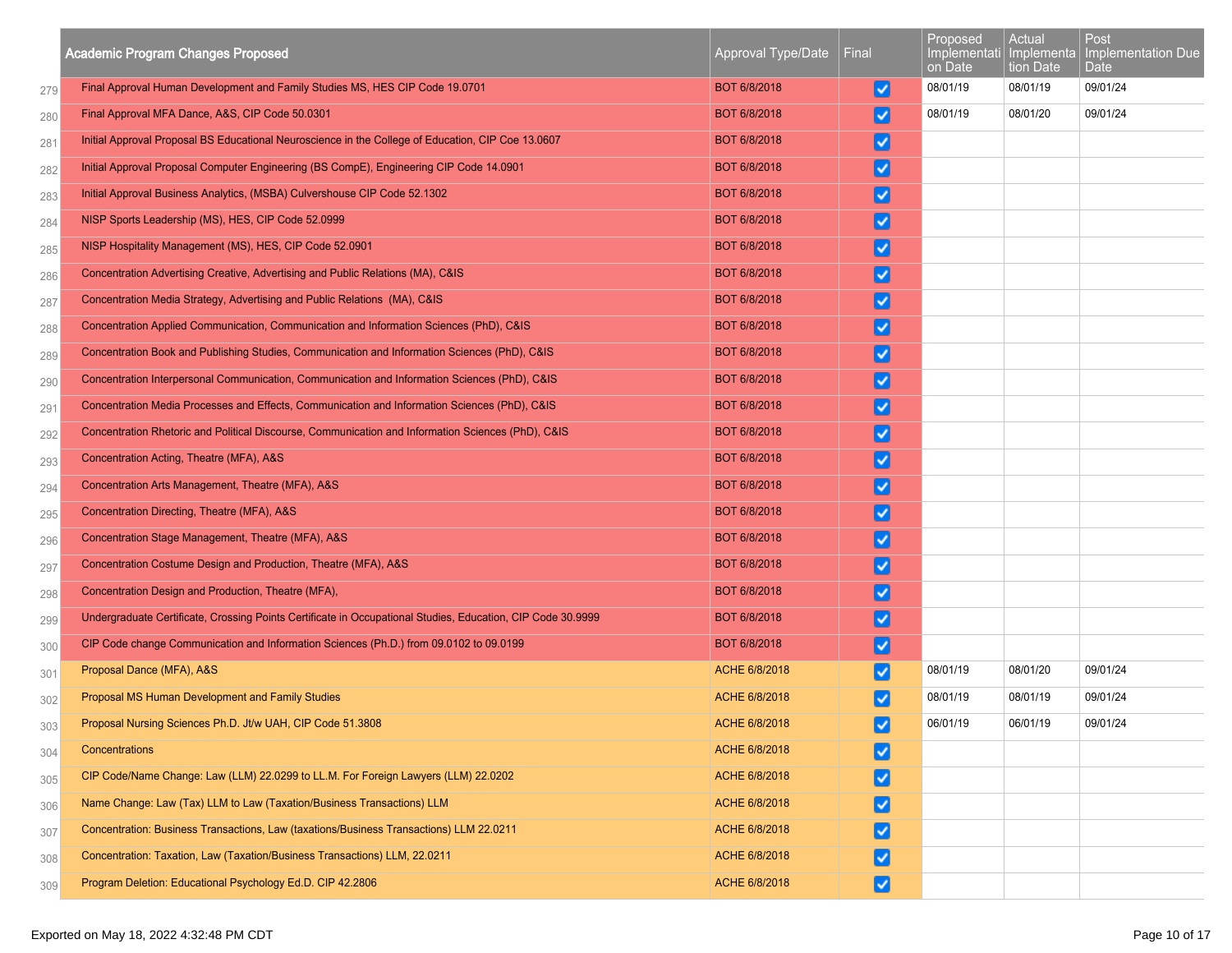|     | <b>Academic Program Changes Proposed</b>                                                                    | Approval Type/Date | Final                  | Proposed<br>Implementati<br>on Date | Actual<br>Implementa<br>tion Date | Post<br>Implementation Due<br>Date |
|-----|-------------------------------------------------------------------------------------------------------------|--------------------|------------------------|-------------------------------------|-----------------------------------|------------------------------------|
| 279 | Final Approval Human Development and Family Studies MS, HES CIP Code 19.0701                                | BOT 6/8/2018       | ∣√∣                    | 08/01/19                            | 08/01/19                          | 09/01/24                           |
| 280 | Final Approval MFA Dance, A&S, CIP Code 50.0301                                                             | BOT 6/8/2018       | ∣V                     | 08/01/19                            | 08/01/20                          | 09/01/24                           |
| 281 | Initial Approval Proposal BS Educational Neuroscience in the College of Education, CIP Coe 13.0607          | BOT 6/8/2018       | ☑                      |                                     |                                   |                                    |
| 282 | Initial Approval Proposal Computer Engineering (BS CompE), Engineering CIP Code 14.0901                     | BOT 6/8/2018       | ⊻                      |                                     |                                   |                                    |
| 283 | Initial Approval Business Analytics, (MSBA) Culvershouse CIP Code 52.1302                                   | BOT 6/8/2018       | ⊻                      |                                     |                                   |                                    |
| 284 | NISP Sports Leadership (MS), HES, CIP Code 52.0999                                                          | BOT 6/8/2018       | ⊻                      |                                     |                                   |                                    |
| 285 | NISP Hospitality Management (MS), HES, CIP Code 52.0901                                                     | BOT 6/8/2018       | ⊻                      |                                     |                                   |                                    |
| 286 | Concentration Advertising Creative, Advertising and Public Relations (MA), C&IS                             | BOT 6/8/2018       | ⊻                      |                                     |                                   |                                    |
| 287 | Concentration Media Strategy, Advertising and Public Relations (MA), C&IS                                   | BOT 6/8/2018       | $\vert\checkmark\vert$ |                                     |                                   |                                    |
| 288 | Concentration Applied Communication, Communication and Information Sciences (PhD), C&IS                     | BOT 6/8/2018       | ⊻                      |                                     |                                   |                                    |
| 289 | Concentration Book and Publishing Studies, Communication and Information Sciences (PhD), C&IS               | BOT 6/8/2018       | $\vert\checkmark\vert$ |                                     |                                   |                                    |
| 290 | Concentration Interpersonal Communication, Communication and Information Sciences (PhD), C&IS               | BOT 6/8/2018       | ⊻                      |                                     |                                   |                                    |
| 291 | Concentration Media Processes and Effects, Communication and Information Sciences (PhD), C&IS               | BOT 6/8/2018       | ⊻                      |                                     |                                   |                                    |
| 292 | Concentration Rhetoric and Political Discourse, Communication and Information Sciences (PhD), C&IS          | BOT 6/8/2018       | ⊻                      |                                     |                                   |                                    |
| 293 | Concentration Acting, Theatre (MFA), A&S                                                                    | BOT 6/8/2018       | ☑                      |                                     |                                   |                                    |
| 294 | Concentration Arts Management, Theatre (MFA), A&S                                                           | BOT 6/8/2018       | ☑                      |                                     |                                   |                                    |
| 295 | Concentration Directing, Theatre (MFA), A&S                                                                 | BOT 6/8/2018       | ⊻                      |                                     |                                   |                                    |
| 296 | Concentration Stage Management, Theatre (MFA), A&S                                                          | BOT 6/8/2018       | ∣√∣                    |                                     |                                   |                                    |
| 297 | Concentration Costume Design and Production, Theatre (MFA), A&S                                             | BOT 6/8/2018       | ⊻                      |                                     |                                   |                                    |
| 298 | Concentration Design and Production, Theatre (MFA),                                                         | BOT 6/8/2018       | ⊻                      |                                     |                                   |                                    |
| 299 | Undergraduate Certificate, Crossing Points Certificate in Occupational Studies, Education, CIP Code 30.9999 | BOT 6/8/2018       | ☑                      |                                     |                                   |                                    |
| 300 | CIP Code change Communication and Information Sciences (Ph.D.) from 09.0102 to 09.0199                      | BOT 6/8/2018       | ⊻                      |                                     |                                   |                                    |
| 301 | Proposal Dance (MFA), A&S                                                                                   | ACHE 6/8/2018      | ☑                      | 08/01/19                            | 08/01/20                          | 09/01/24                           |
| 302 | Proposal MS Human Development and Family Studies                                                            | ACHE 6/8/2018      |                        | 08/01/19                            | 08/01/19                          | 09/01/24                           |
| 303 | Proposal Nursing Sciences Ph.D. Jt/w UAH, CIP Code 51.3808                                                  | ACHE 6/8/2018      | J                      | 06/01/19                            | 06/01/19                          | 09/01/24                           |
| 304 | Concentrations                                                                                              | ACHE 6/8/2018      | ☑                      |                                     |                                   |                                    |
| 305 | CIP Code/Name Change: Law (LLM) 22.0299 to LL.M. For Foreign Lawyers (LLM) 22.0202                          | ACHE 6/8/2018      | ☑                      |                                     |                                   |                                    |
| 306 | Name Change: Law (Tax) LLM to Law (Taxation/Business Transactions) LLM                                      | ACHE 6/8/2018      | ☑                      |                                     |                                   |                                    |
| 307 | Concentration: Business Transactions, Law (taxations/Business Transactions) LLM 22.0211                     | ACHE 6/8/2018      | ☑                      |                                     |                                   |                                    |
| 308 | Concentration: Taxation, Law (Taxation/Business Transactions) LLM, 22.0211                                  | ACHE 6/8/2018      | ☑                      |                                     |                                   |                                    |
| 309 | Program Deletion: Educational Psychology Ed.D. CIP 42.2806                                                  | ACHE 6/8/2018      | ☑                      |                                     |                                   |                                    |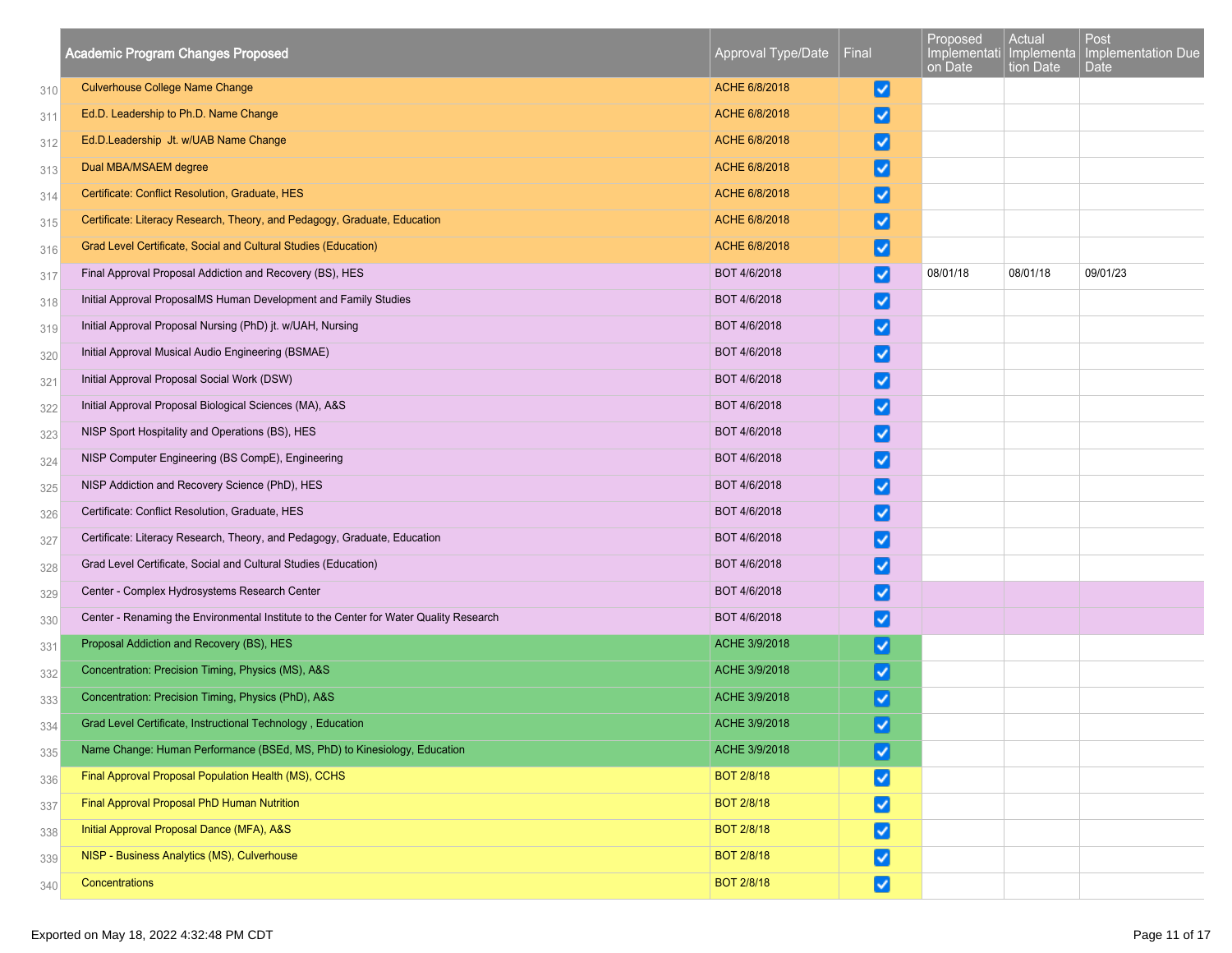|     | <b>Academic Program Changes Proposed</b>                                               | Approval Type/Date | Final                  | Proposed<br>on Date | Actual<br>tion Date | Post<br>Implementati Implementa   Implementation Due<br>Date |
|-----|----------------------------------------------------------------------------------------|--------------------|------------------------|---------------------|---------------------|--------------------------------------------------------------|
| 310 | <b>Culverhouse College Name Change</b>                                                 | ACHE 6/8/2018      | ☑                      |                     |                     |                                                              |
| 311 | Ed.D. Leadership to Ph.D. Name Change                                                  | ACHE 6/8/2018      | V                      |                     |                     |                                                              |
| 312 | Ed.D.Leadership Jt. w/UAB Name Change                                                  | ACHE 6/8/2018      | ☑                      |                     |                     |                                                              |
| 313 | Dual MBA/MSAEM degree                                                                  | ACHE 6/8/2018      | V                      |                     |                     |                                                              |
| 314 | Certificate: Conflict Resolution, Graduate, HES                                        | ACHE 6/8/2018      | ⊻                      |                     |                     |                                                              |
| 315 | Certificate: Literacy Research, Theory, and Pedagogy, Graduate, Education              | ACHE 6/8/2018      | ∣V                     |                     |                     |                                                              |
| 316 | Grad Level Certificate, Social and Cultural Studies (Education)                        | ACHE 6/8/2018      | ✓                      |                     |                     |                                                              |
| 317 | Final Approval Proposal Addiction and Recovery (BS), HES                               | BOT 4/6/2018       | ☑                      | 08/01/18            | 08/01/18            | 09/01/23                                                     |
| 318 | Initial Approval ProposalMS Human Development and Family Studies                       | BOT 4/6/2018       | ☑                      |                     |                     |                                                              |
| 319 | Initial Approval Proposal Nursing (PhD) jt. w/UAH, Nursing                             | BOT 4/6/2018       | V                      |                     |                     |                                                              |
| 320 | Initial Approval Musical Audio Engineering (BSMAE)                                     | BOT 4/6/2018       | ☑                      |                     |                     |                                                              |
| 321 | Initial Approval Proposal Social Work (DSW)                                            | BOT 4/6/2018       | ⊻                      |                     |                     |                                                              |
| 322 | Initial Approval Proposal Biological Sciences (MA), A&S                                | BOT 4/6/2018       | $\vert\checkmark\vert$ |                     |                     |                                                              |
| 323 | NISP Sport Hospitality and Operations (BS), HES                                        | BOT 4/6/2018       | ☑                      |                     |                     |                                                              |
| 324 | NISP Computer Engineering (BS CompE), Engineering                                      | BOT 4/6/2018       | $\vert\checkmark\vert$ |                     |                     |                                                              |
| 325 | NISP Addiction and Recovery Science (PhD), HES                                         | BOT 4/6/2018       | Ø                      |                     |                     |                                                              |
| 326 | Certificate: Conflict Resolution, Graduate, HES                                        | BOT 4/6/2018       | び                      |                     |                     |                                                              |
| 327 | Certificate: Literacy Research, Theory, and Pedagogy, Graduate, Education              | BOT 4/6/2018       | V                      |                     |                     |                                                              |
| 328 | Grad Level Certificate, Social and Cultural Studies (Education)                        | BOT 4/6/2018       | ⊻                      |                     |                     |                                                              |
| 329 | Center - Complex Hydrosystems Research Center                                          | BOT 4/6/2018       | ☑                      |                     |                     |                                                              |
| 330 | Center - Renaming the Environmental Institute to the Center for Water Quality Research | BOT 4/6/2018       | ☑                      |                     |                     |                                                              |
| 331 | Proposal Addiction and Recovery (BS), HES                                              | ACHE 3/9/2018      | $\vert \checkmark$     |                     |                     |                                                              |
| 332 | Concentration: Precision Timing, Physics (MS), A&S                                     | ACHE 3/9/2018      | ⊻                      |                     |                     |                                                              |
| 333 | Concentration: Precision Timing, Physics (PhD), A&S                                    | ACHE 3/9/2018      | V                      |                     |                     |                                                              |
| 334 | Grad Level Certificate, Instructional Technology, Education                            | ACHE 3/9/2018      | ⊽                      |                     |                     |                                                              |
| 335 | Name Change: Human Performance (BSEd, MS, PhD) to Kinesiology, Education               | ACHE 3/9/2018      | ☑                      |                     |                     |                                                              |
| 336 | Final Approval Proposal Population Health (MS), CCHS                                   | <b>BOT 2/8/18</b>  | ☑                      |                     |                     |                                                              |
| 337 | Final Approval Proposal PhD Human Nutrition                                            | <b>BOT 2/8/18</b>  | ☑                      |                     |                     |                                                              |
| 338 | Initial Approval Proposal Dance (MFA), A&S                                             | <b>BOT 2/8/18</b>  | ☑                      |                     |                     |                                                              |
| 339 | NISP - Business Analytics (MS), Culverhouse                                            | <b>BOT 2/8/18</b>  | ☑                      |                     |                     |                                                              |
| 340 | Concentrations                                                                         | <b>BOT 2/8/18</b>  | ☑                      |                     |                     |                                                              |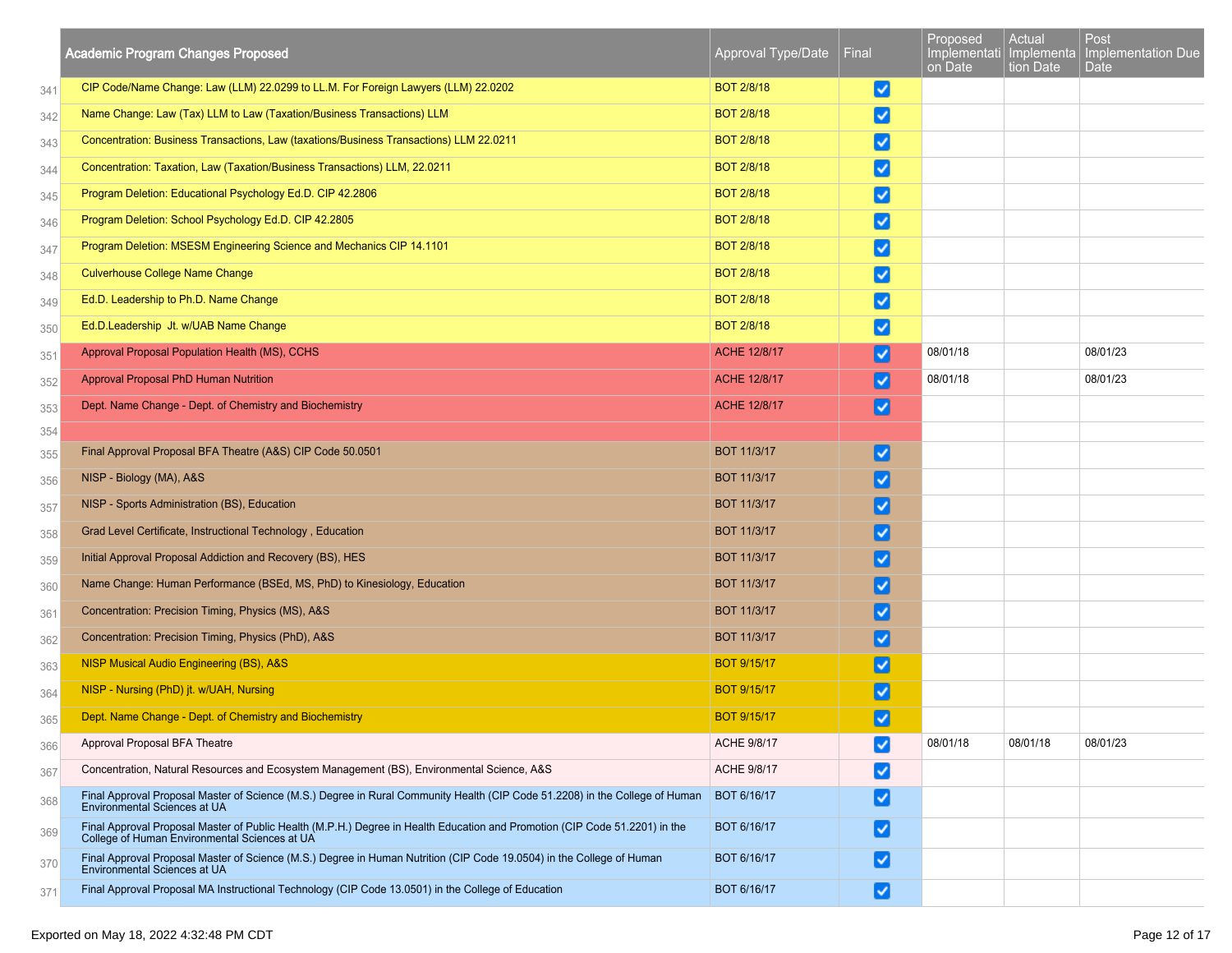|     | <b>Academic Program Changes Proposed</b>                                                                                                                                     | Approval Type/Date | Final                              | Proposed<br>Implementati   Implementa<br>on Date | Actual<br>tion Date | Post<br><b>Implementation Due</b><br>Date |
|-----|------------------------------------------------------------------------------------------------------------------------------------------------------------------------------|--------------------|------------------------------------|--------------------------------------------------|---------------------|-------------------------------------------|
| 341 | CIP Code/Name Change: Law (LLM) 22.0299 to LL.M. For Foreign Lawyers (LLM) 22.0202                                                                                           | <b>BOT 2/8/18</b>  | ☑                                  |                                                  |                     |                                           |
| 342 | Name Change: Law (Tax) LLM to Law (Taxation/Business Transactions) LLM                                                                                                       | <b>BOT 2/8/18</b>  | ☑                                  |                                                  |                     |                                           |
| 343 | Concentration: Business Transactions, Law (taxations/Business Transactions) LLM 22.0211                                                                                      | <b>BOT 2/8/18</b>  | ☑                                  |                                                  |                     |                                           |
| 344 | Concentration: Taxation, Law (Taxation/Business Transactions) LLM, 22.0211                                                                                                   | <b>BOT 2/8/18</b>  | ☑                                  |                                                  |                     |                                           |
| 345 | Program Deletion: Educational Psychology Ed.D. CIP 42.2806                                                                                                                   | <b>BOT 2/8/18</b>  | ☑                                  |                                                  |                     |                                           |
| 346 | Program Deletion: School Psychology Ed.D. CIP 42.2805                                                                                                                        | <b>BOT 2/8/18</b>  | $\vert \checkmark$                 |                                                  |                     |                                           |
| 347 | Program Deletion: MSESM Engineering Science and Mechanics CIP 14.1101                                                                                                        | <b>BOT 2/8/18</b>  | ☑                                  |                                                  |                     |                                           |
| 348 | <b>Culverhouse College Name Change</b>                                                                                                                                       | <b>BOT 2/8/18</b>  | Ø                                  |                                                  |                     |                                           |
| 349 | Ed.D. Leadership to Ph.D. Name Change                                                                                                                                        | <b>BOT 2/8/18</b>  | ☑                                  |                                                  |                     |                                           |
| 350 | Ed.D.Leadership Jt. w/UAB Name Change                                                                                                                                        | <b>BOT 2/8/18</b>  | ☑                                  |                                                  |                     |                                           |
| 351 | Approval Proposal Population Health (MS), CCHS                                                                                                                               | ACHE 12/8/17       | ☑                                  | 08/01/18                                         |                     | 08/01/23                                  |
| 352 | Approval Proposal PhD Human Nutrition                                                                                                                                        | ACHE 12/8/17       | ∣√                                 | 08/01/18                                         |                     | 08/01/23                                  |
| 353 | Dept. Name Change - Dept. of Chemistry and Biochemistry                                                                                                                      | ACHE 12/8/17       | ∣√                                 |                                                  |                     |                                           |
| 354 |                                                                                                                                                                              |                    |                                    |                                                  |                     |                                           |
| 355 | Final Approval Proposal BFA Theatre (A&S) CIP Code 50.0501                                                                                                                   | <b>BOT 11/3/17</b> | V                                  |                                                  |                     |                                           |
| 356 | NISP - Biology (MA), A&S                                                                                                                                                     | <b>BOT 11/3/17</b> | $\left\vert \mathbf{v}\right\vert$ |                                                  |                     |                                           |
| 357 | NISP - Sports Administration (BS), Education                                                                                                                                 | <b>BOT 11/3/17</b> | $\vert\checkmark\vert$             |                                                  |                     |                                           |
| 358 | Grad Level Certificate, Instructional Technology, Education                                                                                                                  | <b>BOT 11/3/17</b> | $\vert\checkmark\vert$             |                                                  |                     |                                           |
| 359 | Initial Approval Proposal Addiction and Recovery (BS), HES                                                                                                                   | <b>BOT 11/3/17</b> | $\vert \checkmark\vert$            |                                                  |                     |                                           |
| 360 | Name Change: Human Performance (BSEd, MS, PhD) to Kinesiology, Education                                                                                                     | <b>BOT 11/3/17</b> | $\vert\checkmark\vert$             |                                                  |                     |                                           |
| 361 | Concentration: Precision Timing, Physics (MS), A&S                                                                                                                           | <b>BOT 11/3/17</b> | ⊻                                  |                                                  |                     |                                           |
| 362 | Concentration: Precision Timing, Physics (PhD), A&S                                                                                                                          | <b>BOT 11/3/17</b> | $\vert \checkmark$                 |                                                  |                     |                                           |
| 363 | NISP Musical Audio Engineering (BS), A&S                                                                                                                                     | <b>BOT 9/15/17</b> | $\overline{\mathbf{v}}$            |                                                  |                     |                                           |
| 364 | NISP - Nursing (PhD) jt. w/UAH, Nursing                                                                                                                                      | <b>BOT 9/15/17</b> | ☑                                  |                                                  |                     |                                           |
| 365 | Dept. Name Change - Dept. of Chemistry and Biochemistry                                                                                                                      | <b>BOT 9/15/17</b> | $\blacktriangledown$               |                                                  |                     |                                           |
| 366 | Approval Proposal BFA Theatre                                                                                                                                                | ACHE 9/8/17        | $\vert \checkmark$                 | 08/01/18                                         | 08/01/18            | 08/01/23                                  |
| 367 | Concentration, Natural Resources and Ecosystem Management (BS), Environmental Science, A&S                                                                                   | ACHE 9/8/17        | M                                  |                                                  |                     |                                           |
| 368 | Final Approval Proposal Master of Science (M.S.) Degree in Rural Community Health (CIP Code 51.2208) in the College of Human<br>Environmental Sciences at UA                 | BOT 6/16/17        | ☑                                  |                                                  |                     |                                           |
| 369 | Final Approval Proposal Master of Public Health (M.P.H.) Degree in Health Education and Promotion (CIP Code 51.2201) in the<br>College of Human Environmental Sciences at UA | BOT 6/16/17        | V                                  |                                                  |                     |                                           |
| 370 | Final Approval Proposal Master of Science (M.S.) Degree in Human Nutrition (CIP Code 19.0504) in the College of Human<br>Environmental Sciences at UA                        | BOT 6/16/17        | V                                  |                                                  |                     |                                           |
| 371 | Final Approval Proposal MA Instructional Technology (CIP Code 13.0501) in the College of Education                                                                           | BOT 6/16/17        | V                                  |                                                  |                     |                                           |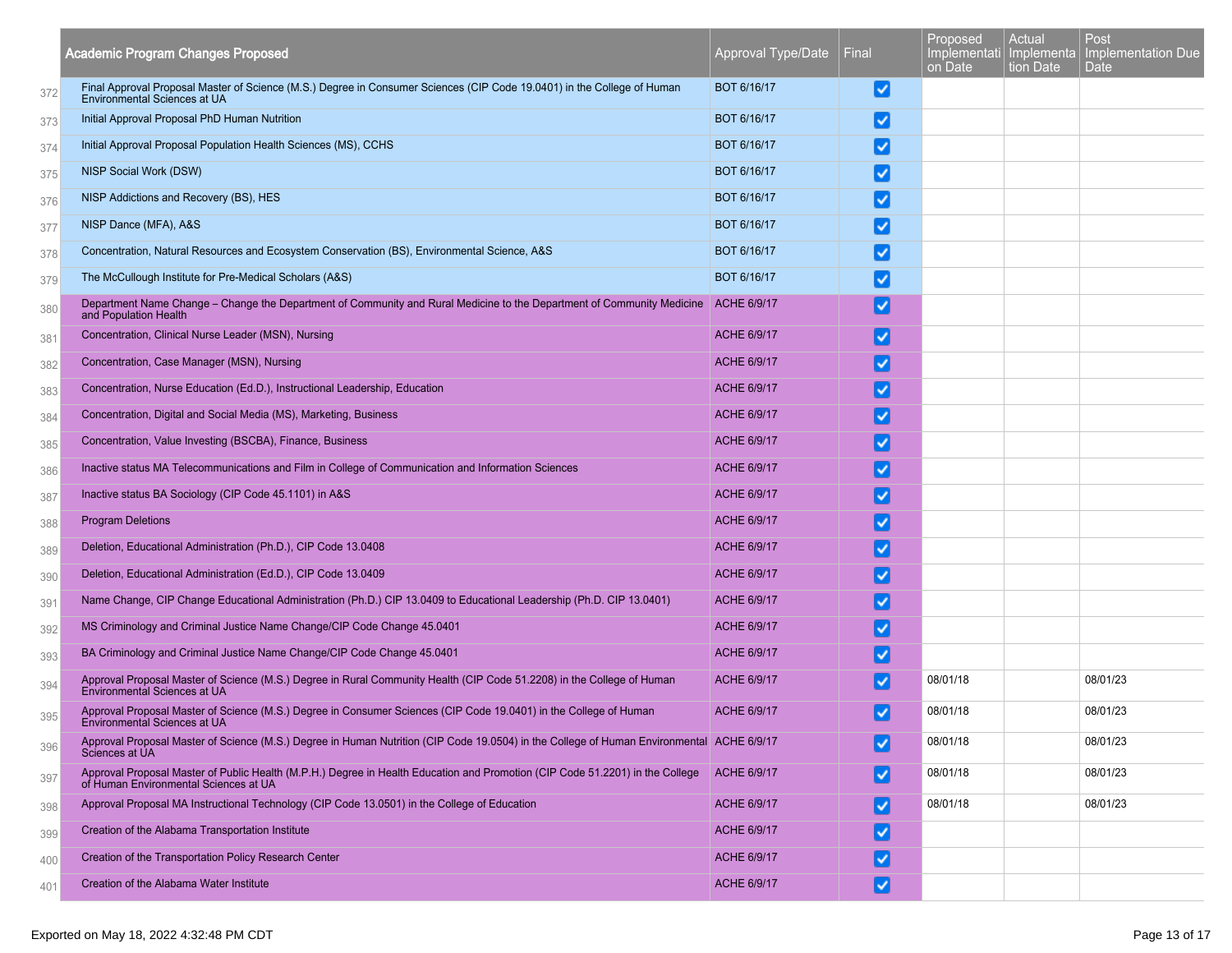|     | <b>Academic Program Changes Proposed</b>                                                                                                                                           | Approval Type/Date | Final                              | Proposed<br>Implementati   Implementa<br>on Date | Actual<br>tion Date | Post<br>Implementation Due<br>Date |
|-----|------------------------------------------------------------------------------------------------------------------------------------------------------------------------------------|--------------------|------------------------------------|--------------------------------------------------|---------------------|------------------------------------|
| 372 | Final Approval Proposal Master of Science (M.S.) Degree in Consumer Sciences (CIP Code 19.0401) in the College of Human<br>Environmental Sciences at UA                            | BOT 6/16/17        | V                                  |                                                  |                     |                                    |
| 373 | Initial Approval Proposal PhD Human Nutrition                                                                                                                                      | BOT 6/16/17        | $\blacktriangledown$               |                                                  |                     |                                    |
| 374 | Initial Approval Proposal Population Health Sciences (MS), CCHS                                                                                                                    | BOT 6/16/17        | ◡                                  |                                                  |                     |                                    |
| 375 | NISP Social Work (DSW)                                                                                                                                                             | BOT 6/16/17        | ✓                                  |                                                  |                     |                                    |
| 376 | NISP Addictions and Recovery (BS), HES                                                                                                                                             | BOT 6/16/17        | ✓                                  |                                                  |                     |                                    |
| 377 | NISP Dance (MFA), A&S                                                                                                                                                              | BOT 6/16/17        | ✓                                  |                                                  |                     |                                    |
| 378 | Concentration, Natural Resources and Ecosystem Conservation (BS), Environmental Science, A&S                                                                                       | BOT 6/16/17        | √                                  |                                                  |                     |                                    |
| 379 | The McCullough Institute for Pre-Medical Scholars (A&S)                                                                                                                            | BOT 6/16/17        | ◡                                  |                                                  |                     |                                    |
| 380 | Department Name Change - Change the Department of Community and Rural Medicine to the Department of Community Medicine ACHE 6/9/17<br>and Population Health                        |                    | $\vert\checkmark\vert$             |                                                  |                     |                                    |
| 381 | Concentration, Clinical Nurse Leader (MSN), Nursing                                                                                                                                | ACHE 6/9/17        | ⊻                                  |                                                  |                     |                                    |
| 382 | Concentration, Case Manager (MSN), Nursing                                                                                                                                         | ACHE 6/9/17        | ⊻                                  |                                                  |                     |                                    |
| 383 | Concentration, Nurse Education (Ed.D.), Instructional Leadership, Education                                                                                                        | ACHE 6/9/17        | ✓                                  |                                                  |                     |                                    |
| 384 | Concentration, Digital and Social Media (MS), Marketing, Business                                                                                                                  | ACHE 6/9/17        | ✓                                  |                                                  |                     |                                    |
| 385 | Concentration, Value Investing (BSCBA), Finance, Business                                                                                                                          | ACHE 6/9/17        | $\blacktriangledown$               |                                                  |                     |                                    |
| 386 | Inactive status MA Telecommunications and Film in College of Communication and Information Sciences                                                                                | ACHE 6/9/17        | $\vert\checkmark\vert$             |                                                  |                     |                                    |
| 387 | Inactive status BA Sociology (CIP Code 45.1101) in A&S                                                                                                                             | <b>ACHE 6/9/17</b> | ☑                                  |                                                  |                     |                                    |
| 388 | <b>Program Deletions</b>                                                                                                                                                           | ACHE 6/9/17        | ⊻                                  |                                                  |                     |                                    |
| 389 | Deletion, Educational Administration (Ph.D.), CIP Code 13.0408                                                                                                                     | ACHE 6/9/17        | ✓                                  |                                                  |                     |                                    |
| 390 | Deletion, Educational Administration (Ed.D.), CIP Code 13.0409                                                                                                                     | ACHE 6/9/17        | ✓                                  |                                                  |                     |                                    |
| 391 | Name Change, CIP Change Educational Administration (Ph.D.) CIP 13.0409 to Educational Leadership (Ph.D. CIP 13.0401)                                                               | ACHE 6/9/17        | び                                  |                                                  |                     |                                    |
| 392 | MS Criminology and Criminal Justice Name Change/CIP Code Change 45.0401                                                                                                            | ACHE 6/9/17        | ✓                                  |                                                  |                     |                                    |
| 393 | BA Criminology and Criminal Justice Name Change/CIP Code Change 45.0401                                                                                                            | ACHE 6/9/17        | ✓                                  |                                                  |                     |                                    |
| 394 | Approval Proposal Master of Science (M.S.) Degree in Rural Community Health (CIP Code 51.2208) in the College of Human<br><b>Environmental Sciences at UA</b>                      | ACHE 6/9/17        | ✓                                  | 08/01/18                                         |                     | 08/01/23                           |
| 395 | Approval Proposal Master of Science (M.S.) Degree in Consumer Sciences (CIP Code 19.0401) in the College of Human<br>Environmental Sciences at UA                                  | ACHE 6/9/17        | ✓                                  | 08/01/18                                         |                     | 08/01/23                           |
| 396 | Approval Proposal Master of Science (M.S.) Degree in Human Nutrition (CIP Code 19.0504) in the College of Human Environmental ACHE 6/9/17<br>Sciences at UA                        |                    | ☑                                  | 08/01/18                                         |                     | 08/01/23                           |
| 397 | Approval Proposal Master of Public Health (M.P.H.) Degree in Health Education and Promotion (CIP Code 51.2201) in the College ACHE 6/9/17<br>of Human Environmental Sciences at UA |                    | ☑                                  | 08/01/18                                         |                     | 08/01/23                           |
| 398 | Approval Proposal MA Instructional Technology (CIP Code 13.0501) in the College of Education                                                                                       | ACHE 6/9/17        | $\vert \checkmark\vert$            | 08/01/18                                         |                     | 08/01/23                           |
| 399 | Creation of the Alabama Transportation Institute                                                                                                                                   | ACHE 6/9/17        | ☑                                  |                                                  |                     |                                    |
| 400 | Creation of the Transportation Policy Research Center                                                                                                                              | ACHE 6/9/17        | ☑                                  |                                                  |                     |                                    |
| 401 | Creation of the Alabama Water Institute                                                                                                                                            | ACHE 6/9/17        | $\left\vert \mathbf{v}\right\vert$ |                                                  |                     |                                    |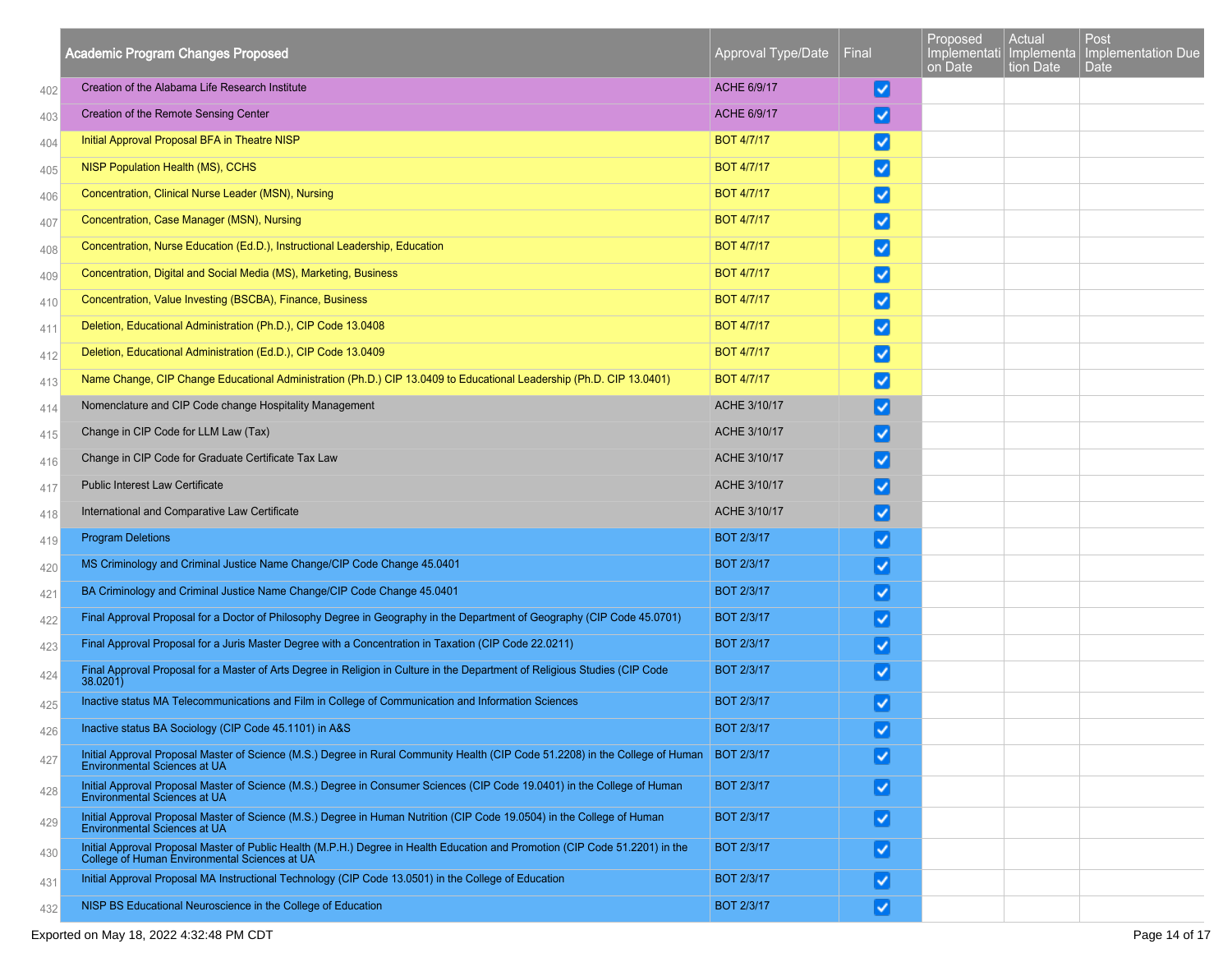|     | <b>Academic Program Changes Proposed</b>                                                                                                                                         | Approval Type/Date | Final                   | Proposed<br>Implementati Implementa<br>on Date | Actual<br>tion Date | Post<br>Implementation Due<br><b>Date</b> |
|-----|----------------------------------------------------------------------------------------------------------------------------------------------------------------------------------|--------------------|-------------------------|------------------------------------------------|---------------------|-------------------------------------------|
| 402 | Creation of the Alabama Life Research Institute                                                                                                                                  | ACHE 6/9/17        | V                       |                                                |                     |                                           |
| 403 | Creation of the Remote Sensing Center                                                                                                                                            | ACHE 6/9/17        | Ø                       |                                                |                     |                                           |
| 404 | Initial Approval Proposal BFA in Theatre NISP                                                                                                                                    | <b>BOT 4/7/17</b>  | ☑                       |                                                |                     |                                           |
| 405 | NISP Population Health (MS), CCHS                                                                                                                                                | <b>BOT 4/7/17</b>  | M                       |                                                |                     |                                           |
| 406 | Concentration, Clinical Nurse Leader (MSN), Nursing                                                                                                                              | <b>BOT 4/7/17</b>  | ☑                       |                                                |                     |                                           |
| 407 | Concentration, Case Manager (MSN), Nursing                                                                                                                                       | <b>BOT 4/7/17</b>  | ☑                       |                                                |                     |                                           |
| 408 | Concentration, Nurse Education (Ed.D.), Instructional Leadership, Education                                                                                                      | <b>BOT 4/7/17</b>  | ⋁                       |                                                |                     |                                           |
| 409 | Concentration, Digital and Social Media (MS), Marketing, Business                                                                                                                | <b>BOT 4/7/17</b>  | ☑                       |                                                |                     |                                           |
| 410 | Concentration, Value Investing (BSCBA), Finance, Business                                                                                                                        | <b>BOT 4/7/17</b>  | ☑                       |                                                |                     |                                           |
| 411 | Deletion, Educational Administration (Ph.D.), CIP Code 13.0408                                                                                                                   | <b>BOT 4/7/17</b>  | ⋁                       |                                                |                     |                                           |
| 412 | Deletion, Educational Administration (Ed.D.), CIP Code 13.0409                                                                                                                   | <b>BOT 4/7/17</b>  | ☑                       |                                                |                     |                                           |
| 413 | Name Change, CIP Change Educational Administration (Ph.D.) CIP 13.0409 to Educational Leadership (Ph.D. CIP 13.0401)                                                             | <b>BOT 4/7/17</b>  | ☑                       |                                                |                     |                                           |
| 414 | Nomenclature and CIP Code change Hospitality Management                                                                                                                          | ACHE 3/10/17       | V                       |                                                |                     |                                           |
| 415 | Change in CIP Code for LLM Law (Tax)                                                                                                                                             | ACHE 3/10/17       | ☑                       |                                                |                     |                                           |
| 416 | Change in CIP Code for Graduate Certificate Tax Law                                                                                                                              | ACHE 3/10/17       | ☑                       |                                                |                     |                                           |
| 417 | <b>Public Interest Law Certificate</b>                                                                                                                                           | ACHE 3/10/17       | V                       |                                                |                     |                                           |
| 418 | International and Comparative Law Certificate                                                                                                                                    | ACHE 3/10/17       | V                       |                                                |                     |                                           |
| 419 | <b>Program Deletions</b>                                                                                                                                                         | <b>BOT 2/3/17</b>  | ☑                       |                                                |                     |                                           |
| 420 | MS Criminology and Criminal Justice Name Change/CIP Code Change 45.0401                                                                                                          | <b>BOT 2/3/17</b>  | ☑                       |                                                |                     |                                           |
| 421 | BA Criminology and Criminal Justice Name Change/CIP Code Change 45.0401                                                                                                          | <b>BOT 2/3/17</b>  | ☑                       |                                                |                     |                                           |
| 422 | Final Approval Proposal for a Doctor of Philosophy Degree in Geography in the Department of Geography (CIP Code 45.0701)                                                         | <b>BOT 2/3/17</b>  | ☑                       |                                                |                     |                                           |
| 423 | Final Approval Proposal for a Juris Master Degree with a Concentration in Taxation (CIP Code 22.0211)                                                                            | <b>BOT 2/3/17</b>  | Ø                       |                                                |                     |                                           |
| 424 | Final Approval Proposal for a Master of Arts Degree in Religion in Culture in the Department of Religious Studies (CIP Code<br>38.0201)                                          | <b>BOT 2/3/17</b>  | ☑                       |                                                |                     |                                           |
| 425 | Inactive status MA Telecommunications and Film in College of Communication and Information Sciences                                                                              | <b>BOT 2/3/17</b>  | V                       |                                                |                     |                                           |
| 426 | Inactive status BA Sociology (CIP Code 45.1101) in A&S                                                                                                                           | <b>BOT 2/3/17</b>  | ☑                       |                                                |                     |                                           |
| 427 | Initial Approval Proposal Master of Science (M.S.) Degree in Rural Community Health (CIP Code 51.2208) in the College of Human BOT 2/3/17<br><b>Environmental Sciences at UA</b> |                    | $\overline{\mathbf{v}}$ |                                                |                     |                                           |
| 428 | Initial Approval Proposal Master of Science (M.S.) Degree in Consumer Sciences (CIP Code 19.0401) in the College of Human<br>Environmental Sciences at UA                        | <b>BOT 2/3/17</b>  | ☑                       |                                                |                     |                                           |
| 429 | Initial Approval Proposal Master of Science (M.S.) Degree in Human Nutrition (CIP Code 19.0504) in the College of Human<br>Environmental Sciences at UA                          | <b>BOT 2/3/17</b>  | ☑                       |                                                |                     |                                           |
| 430 | Initial Approval Proposal Master of Public Health (M.P.H.) Degree in Health Education and Promotion (CIP Code 51.2201) in the College of Human Environmental Sciences at UA      | <b>BOT 2/3/17</b>  | $\blacktriangleright$   |                                                |                     |                                           |
| 431 | Initial Approval Proposal MA Instructional Technology (CIP Code 13.0501) in the College of Education                                                                             | <b>BOT 2/3/17</b>  | ☑                       |                                                |                     |                                           |
| 432 | NISP BS Educational Neuroscience in the College of Education                                                                                                                     | <b>BOT 2/3/17</b>  | ☑                       |                                                |                     |                                           |

## Exported on May 18, 2022 4:32:48 PM CDT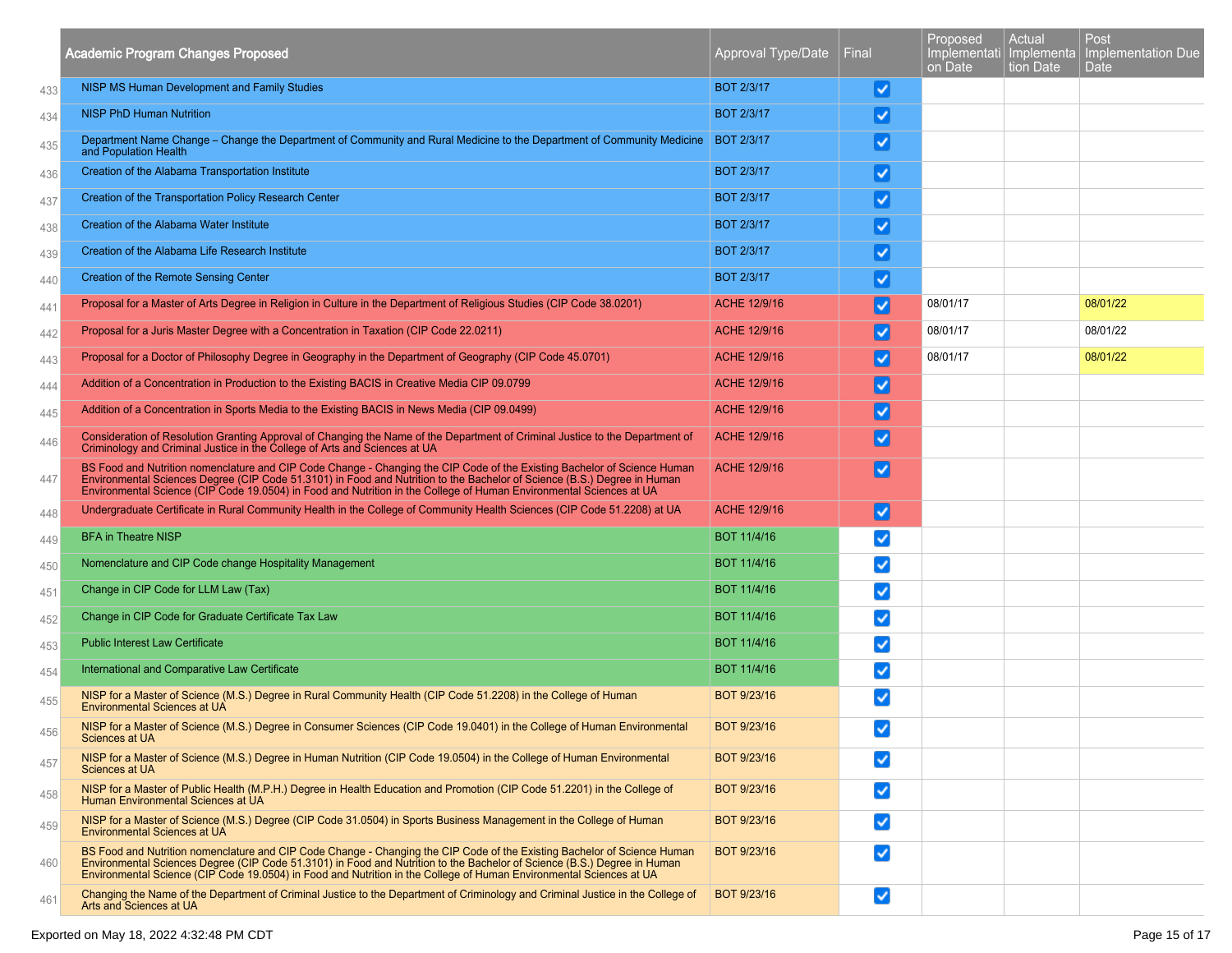|     | <b>Academic Program Changes Proposed</b>                                                                                                                                                                                                                                                                                                                                    | Approval Type/Date | Final                | Proposed<br>Implementati Implementa<br>on Date | Actual<br>tion Date | Post<br>Implementation Due<br><b>Date</b> |
|-----|-----------------------------------------------------------------------------------------------------------------------------------------------------------------------------------------------------------------------------------------------------------------------------------------------------------------------------------------------------------------------------|--------------------|----------------------|------------------------------------------------|---------------------|-------------------------------------------|
| 433 | NISP MS Human Development and Family Studies                                                                                                                                                                                                                                                                                                                                | <b>BOT 2/3/17</b>  | ☑                    |                                                |                     |                                           |
| 434 | <b>NISP PhD Human Nutrition</b>                                                                                                                                                                                                                                                                                                                                             | <b>BOT 2/3/17</b>  | ⊻                    |                                                |                     |                                           |
| 435 | Department Name Change – Change the Department of Community and Rural Medicine to the Department of Community Medicine<br>and Population Health                                                                                                                                                                                                                             | <b>BOT 2/3/17</b>  | V                    |                                                |                     |                                           |
| 436 | Creation of the Alabama Transportation Institute                                                                                                                                                                                                                                                                                                                            | <b>BOT 2/3/17</b>  | ⊻                    |                                                |                     |                                           |
| 437 | Creation of the Transportation Policy Research Center                                                                                                                                                                                                                                                                                                                       | <b>BOT 2/3/17</b>  | V                    |                                                |                     |                                           |
| 438 | Creation of the Alabama Water Institute                                                                                                                                                                                                                                                                                                                                     | <b>BOT 2/3/17</b>  | V                    |                                                |                     |                                           |
| 439 | Creation of the Alabama Life Research Institute                                                                                                                                                                                                                                                                                                                             | <b>BOT 2/3/17</b>  | V                    |                                                |                     |                                           |
| 440 | Creation of the Remote Sensing Center                                                                                                                                                                                                                                                                                                                                       | <b>BOT 2/3/17</b>  | V                    |                                                |                     |                                           |
| 441 | Proposal for a Master of Arts Degree in Religion in Culture in the Department of Religious Studies (CIP Code 38.0201)                                                                                                                                                                                                                                                       | ACHE 12/9/16       | ☑                    | 08/01/17                                       |                     | 08/01/22                                  |
| 442 | Proposal for a Juris Master Degree with a Concentration in Taxation (CIP Code 22.0211)                                                                                                                                                                                                                                                                                      | ACHE 12/9/16       | V                    | 08/01/17                                       |                     | 08/01/22                                  |
| 443 | Proposal for a Doctor of Philosophy Degree in Geography in the Department of Geography (CIP Code 45.0701)                                                                                                                                                                                                                                                                   | ACHE 12/9/16       | V                    | 08/01/17                                       |                     | 08/01/22                                  |
| 444 | Addition of a Concentration in Production to the Existing BACIS in Creative Media CIP 09.0799                                                                                                                                                                                                                                                                               | ACHE 12/9/16       | ☑                    |                                                |                     |                                           |
| 445 | Addition of a Concentration in Sports Media to the Existing BACIS in News Media (CIP 09.0499)                                                                                                                                                                                                                                                                               | ACHE 12/9/16       | M                    |                                                |                     |                                           |
| 446 | Consideration of Resolution Granting Approval of Changing the Name of the Department of Criminal Justice to the Department of<br>Criminology and Criminal Justice in the College of Arts and Sciences at UA                                                                                                                                                                 | ACHE 12/9/16       | V                    |                                                |                     |                                           |
| 447 | BS Food and Nutrition nomenclature and CIP Code Change - Changing the CIP Code of the Existing Bachelor of Science Human<br>Environmental Sciences Degree (CIP Code 51.3101) in Food and Nutrition to the Bachelor of Science (B.S.) Degree in Human<br>Environmental Science (CIP Code 19.0504) in Food and Nutrition in the College of Human Environmental Sciences at UA | ACHE 12/9/16       | V                    |                                                |                     |                                           |
| 448 | Undergraduate Certificate in Rural Community Health in the College of Community Health Sciences (CIP Code 51.2208) at UA                                                                                                                                                                                                                                                    | ACHE 12/9/16       | V                    |                                                |                     |                                           |
| 449 | <b>BFA in Theatre NISP</b>                                                                                                                                                                                                                                                                                                                                                  | BOT 11/4/16        | ✓                    |                                                |                     |                                           |
| 450 | Nomenclature and CIP Code change Hospitality Management                                                                                                                                                                                                                                                                                                                     | BOT 11/4/16        | ✓                    |                                                |                     |                                           |
| 451 | Change in CIP Code for LLM Law (Tax)                                                                                                                                                                                                                                                                                                                                        | BOT 11/4/16        | ✓                    |                                                |                     |                                           |
| 452 | Change in CIP Code for Graduate Certificate Tax Law                                                                                                                                                                                                                                                                                                                         | BOT 11/4/16        | ✓                    |                                                |                     |                                           |
| 453 | <b>Public Interest Law Certificate</b>                                                                                                                                                                                                                                                                                                                                      | BOT 11/4/16        | √                    |                                                |                     |                                           |
| 454 | International and Comparative Law Certificate                                                                                                                                                                                                                                                                                                                               | BOT 11/4/16        | ✓                    |                                                |                     |                                           |
| 455 | NISP for a Master of Science (M.S.) Degree in Rural Community Health (CIP Code 51.2208) in the College of Human<br><b>Environmental Sciences at UA</b>                                                                                                                                                                                                                      | BOT 9/23/16        | ✓                    |                                                |                     |                                           |
| 456 | NISP for a Master of Science (M.S.) Degree in Consumer Sciences (CIP Code 19.0401) in the College of Human Environmental<br>Sciences at UA                                                                                                                                                                                                                                  | BOT 9/23/16        | $\blacktriangledown$ |                                                |                     |                                           |
| 457 | NISP for a Master of Science (M.S.) Degree in Human Nutrition (CIP Code 19.0504) in the College of Human Environmental<br>Sciences at UA                                                                                                                                                                                                                                    | BOT 9/23/16        | $\blacktriangledown$ |                                                |                     |                                           |
| 458 | NISP for a Master of Public Health (M.P.H.) Degree in Health Education and Promotion (CIP Code 51.2201) in the College of<br>Human Environmental Sciences at UA                                                                                                                                                                                                             | BOT 9/23/16        | $\blacktriangledown$ |                                                |                     |                                           |
| 459 | NISP for a Master of Science (M.S.) Degree (CIP Code 31.0504) in Sports Business Management in the College of Human<br>Environmental Sciences at UA                                                                                                                                                                                                                         | BOT 9/23/16        | $\blacktriangledown$ |                                                |                     |                                           |
| 460 | BS Food and Nutrition nomenclature and CIP Code Change - Changing the CIP Code of the Existing Bachelor of Science Human<br>Environmental Sciences Degree (CIP Code 51.3101) in Food and Nutrition to the Bachelor of Science (B.S.) Degree in Human<br>Environmental Science (CIP Code 19.0504) in Food and Nutrition in the College of Human Environmental Sciences at UA | BOT 9/23/16        | $\blacktriangledown$ |                                                |                     |                                           |
| 461 | Changing the Name of the Department of Criminal Justice to the Department of Criminology and Criminal Justice in the College of<br>Arts and Sciences at UA                                                                                                                                                                                                                  | BOT 9/23/16        | $\blacktriangledown$ |                                                |                     |                                           |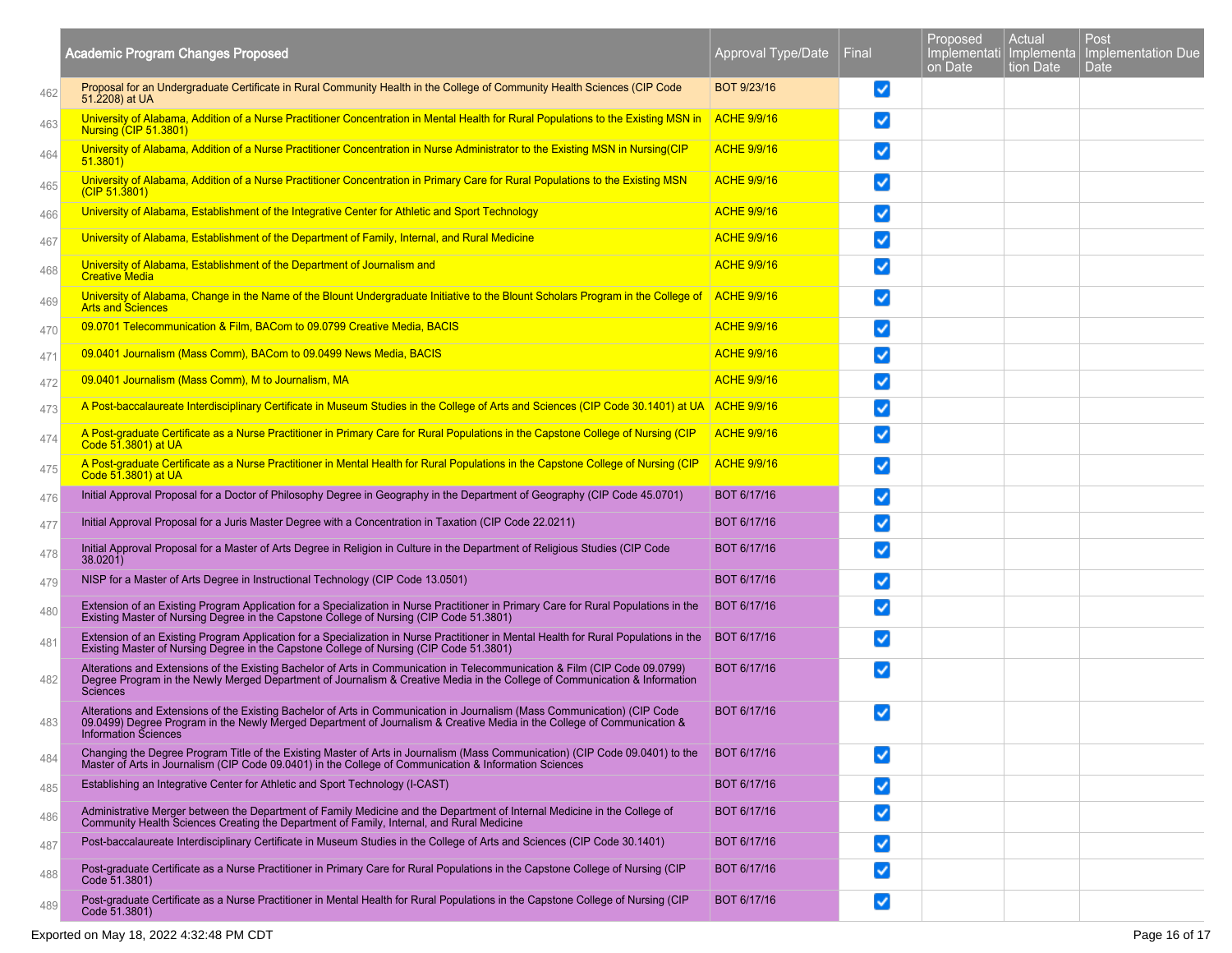|     | <b>Academic Program Changes Proposed</b>                                                                                                                                                                                                                                            | Approval Type/Date | Final                | Proposed<br>Implementati   Implementa<br>on Date | Actual<br>tion Date | Post<br>Implementation Due<br>Date |
|-----|-------------------------------------------------------------------------------------------------------------------------------------------------------------------------------------------------------------------------------------------------------------------------------------|--------------------|----------------------|--------------------------------------------------|---------------------|------------------------------------|
| 462 | Proposal for an Undergraduate Certificate in Rural Community Health in the College of Community Health Sciences (CIP Code<br>51.2208) at UA                                                                                                                                         | BOT 9/23/16        | ☑                    |                                                  |                     |                                    |
| 463 | University of Alabama, Addition of a Nurse Practitioner Concentration in Mental Health for Rural Populations to the Existing MSN in<br><b>Nursing (CIP 51.3801)</b>                                                                                                                 | <b>ACHE 9/9/16</b> | ✓                    |                                                  |                     |                                    |
| 464 | University of Alabama, Addition of a Nurse Practitioner Concentration in Nurse Administrator to the Existing MSN in Nursing(CIP<br>51.3801                                                                                                                                          | <b>ACHE 9/9/16</b> | ✓                    |                                                  |                     |                                    |
| 465 | University of Alabama, Addition of a Nurse Practitioner Concentration in Primary Care for Rural Populations to the Existing MSN<br>(CIP 51.3801)                                                                                                                                    | <b>ACHE 9/9/16</b> | ☑                    |                                                  |                     |                                    |
| 466 | University of Alabama, Establishment of the Integrative Center for Athletic and Sport Technology                                                                                                                                                                                    | <b>ACHE 9/9/16</b> | ✓                    |                                                  |                     |                                    |
| 467 | University of Alabama, Establishment of the Department of Family, Internal, and Rural Medicine                                                                                                                                                                                      | <b>ACHE 9/9/16</b> | ✓                    |                                                  |                     |                                    |
| 468 | University of Alabama, Establishment of the Department of Journalism and<br><b>Creative Media</b>                                                                                                                                                                                   | <b>ACHE 9/9/16</b> | ✓                    |                                                  |                     |                                    |
| 469 | University of Alabama, Change in the Name of the Blount Undergraduate Initiative to the Blount Scholars Program in the College of ACHE 9/9/16<br><b>Arts and Sciences</b>                                                                                                           |                    | $\blacktriangledown$ |                                                  |                     |                                    |
| 470 | 09.0701 Telecommunication & Film, BACom to 09.0799 Creative Media, BACIS                                                                                                                                                                                                            | <b>ACHE 9/9/16</b> | √                    |                                                  |                     |                                    |
| 471 | 09.0401 Journalism (Mass Comm), BACom to 09.0499 News Media, BACIS                                                                                                                                                                                                                  | <b>ACHE 9/9/16</b> | ✓                    |                                                  |                     |                                    |
| 472 | 09.0401 Journalism (Mass Comm), M to Journalism, MA                                                                                                                                                                                                                                 | <b>ACHE 9/9/16</b> | ✓                    |                                                  |                     |                                    |
| 473 | A Post-baccalaureate Interdisciplinary Certificate in Museum Studies in the College of Arts and Sciences (CIP Code 30.1401) at UA ACHE 9/9/16                                                                                                                                       |                    | ᢦ                    |                                                  |                     |                                    |
| 474 | A Post-graduate Certificate as a Nurse Practitioner in Primary Care for Rural Populations in the Capstone College of Nursing (CIP<br>Code 51.3801) at UA                                                                                                                            | <b>ACHE 9/9/16</b> | ✓                    |                                                  |                     |                                    |
| 475 | A Post-graduate Certificate as a Nurse Practitioner in Mental Health for Rural Populations in the Capstone College of Nursing (CIP<br>Code 51.3801) at UA                                                                                                                           | <b>ACHE 9/9/16</b> | $\blacktriangledown$ |                                                  |                     |                                    |
| 476 | Initial Approval Proposal for a Doctor of Philosophy Degree in Geography in the Department of Geography (CIP Code 45.0701)                                                                                                                                                          | BOT 6/17/16        | ⊻                    |                                                  |                     |                                    |
| 477 | Initial Approval Proposal for a Juris Master Degree with a Concentration in Taxation (CIP Code 22.0211)                                                                                                                                                                             | BOT 6/17/16        | ✓                    |                                                  |                     |                                    |
| 478 | Initial Approval Proposal for a Master of Arts Degree in Religion in Culture in the Department of Religious Studies (CIP Code<br>38.0201)                                                                                                                                           | BOT 6/17/16        | ✓                    |                                                  |                     |                                    |
| 479 | NISP for a Master of Arts Degree in Instructional Technology (CIP Code 13.0501)                                                                                                                                                                                                     | BOT 6/17/16        | ✓                    |                                                  |                     |                                    |
| 480 | Extension of an Existing Program Application for a Specialization in Nurse Practitioner in Primary Care for Rural Populations in the<br>Existing Master of Nursing Degree in the Capstone College of Nursing (CIP Code 51.3801)                                                     | BOT 6/17/16        | ✓                    |                                                  |                     |                                    |
| 481 | Extension of an Existing Program Application for a Specialization in Nurse Practitioner in Mental Health for Rural Populations in the Existing Master of Nursing Degree in the Capstone College of Nursing (CIP Code 51.3801)                                                       | BOT 6/17/16        | ✓                    |                                                  |                     |                                    |
| 482 | Alterations and Extensions of the Existing Bachelor of Arts in Communication in Telecommunication & Film (CIP Code 09.0799)<br>Degree Program in the Newly Merged Department of Journalism & Creative Media in the College of Communication & Information<br><b>Sciences</b>        | BOT 6/17/16        | ✓                    |                                                  |                     |                                    |
| 483 | Alterations and Extensions of the Existing Bachelor of Arts in Communication in Journalism (Mass Communication) (CIP Code<br>09.0499) Degree Program in the Newly Merged Department of Journalism & Creative Media in the College of Communication &<br><b>Information Sciences</b> | BOT 6/17/16        | ✓                    |                                                  |                     |                                    |
| 484 | Changing the Degree Program Title of the Existing Master of Arts in Journalism (Mass Communication) (CIP Code 09.0401) to the Master of Arts in Journalism (CIP Code 09.0401) in the College of Communication & Information Sc                                                      | BOT 6/17/16        | √                    |                                                  |                     |                                    |
| 485 | Establishing an Integrative Center for Athletic and Sport Technology (I-CAST)                                                                                                                                                                                                       | BOT 6/17/16        | ⊻                    |                                                  |                     |                                    |
| 486 | Administrative Merger between the Department of Family Medicine and the Department of Internal Medicine in the College of<br>Community Health Sciences Creating the Department of Family, Internal, and Rural Medicine                                                              | BOT 6/17/16        | ✓                    |                                                  |                     |                                    |
| 487 | Post-baccalaureate Interdisciplinary Certificate in Museum Studies in the College of Arts and Sciences (CIP Code 30.1401)                                                                                                                                                           | BOT 6/17/16        | √                    |                                                  |                     |                                    |
| 488 | Post-graduate Certificate as a Nurse Practitioner in Primary Care for Rural Populations in the Capstone College of Nursing (CIP<br>Code 51.3801)                                                                                                                                    | BOT 6/17/16        | ✓                    |                                                  |                     |                                    |
| 489 | Post-graduate Certificate as a Nurse Practitioner in Mental Health for Rural Populations in the Capstone College of Nursing (CIP<br>Code 51.3801)                                                                                                                                   | BOT 6/17/16        | ☑                    |                                                  |                     |                                    |